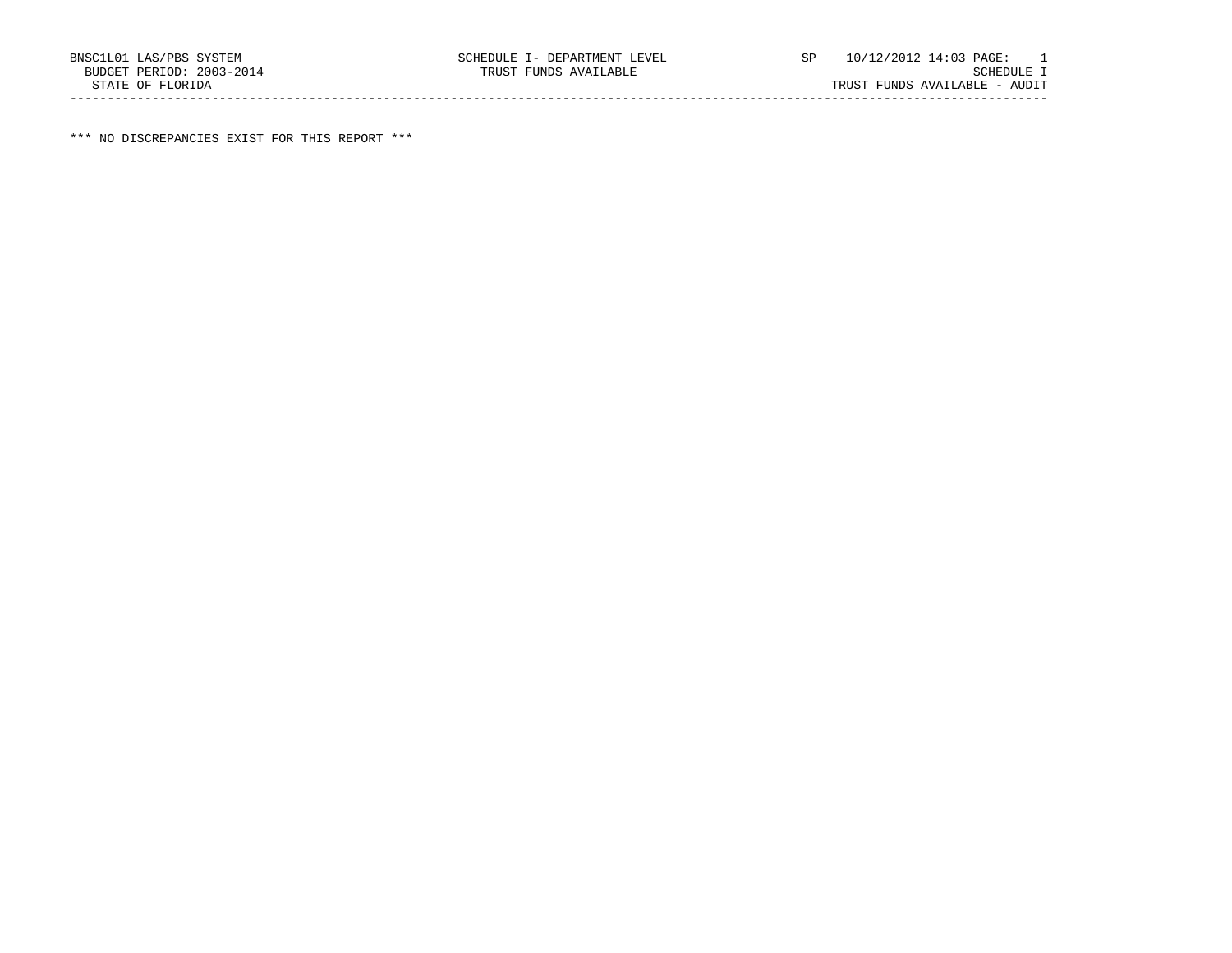\*\*\* NO DISCREPANCIES EXIST FOR THIS REPORT \*\*\*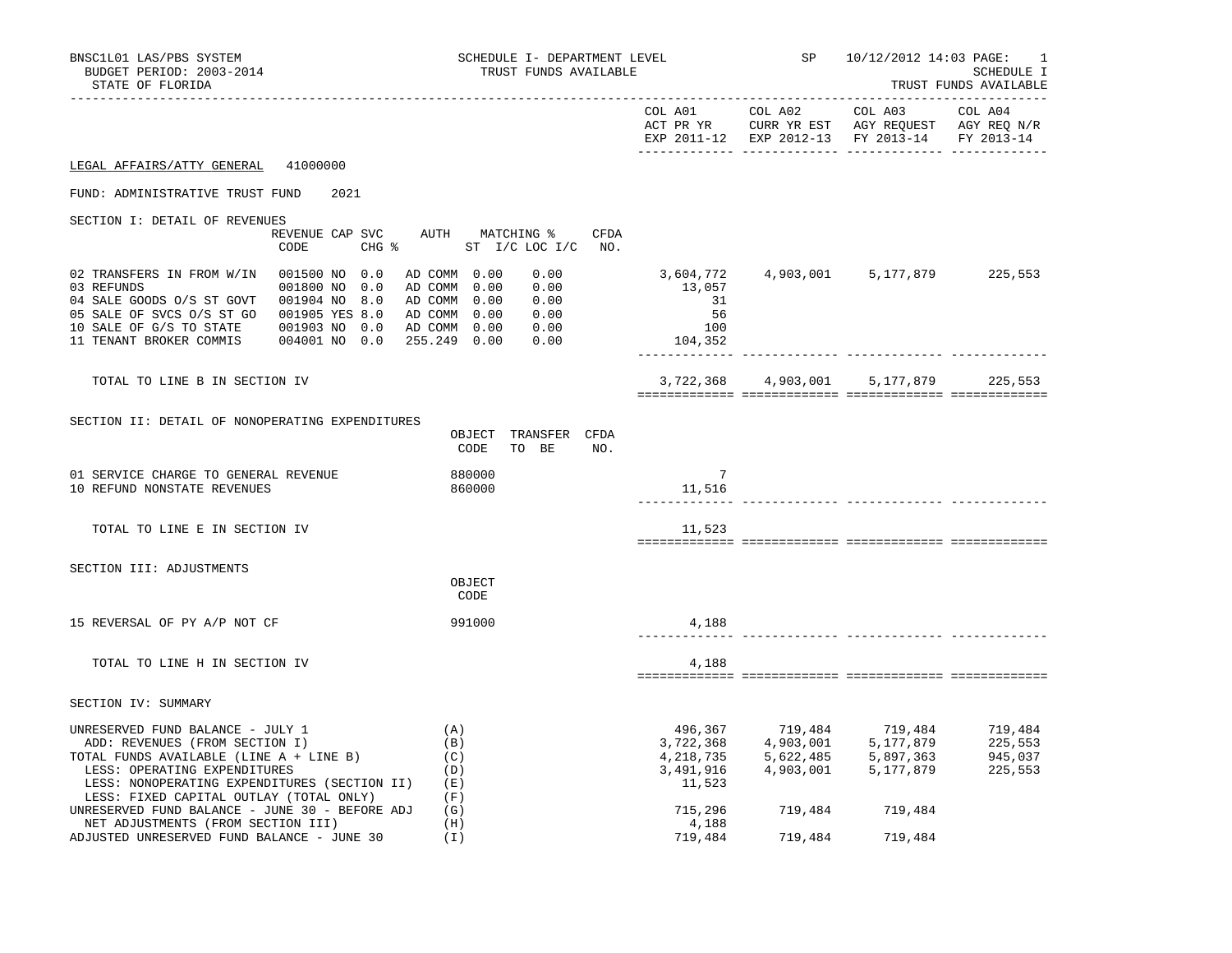| BNSC1L01 LAS/PBS SYSTEM<br>BUDGET PERIOD: 2003-2014<br>STATE OF FLORIDA                                                                                                                                                                                            | SCHEDULE I- DEPARTMENT LEVEL<br>TRUST FUNDS AVAILABLE                                                                        |                                                          | SP              | 10/12/2012 14:03 PAGE:                                                                                                                                                                                                       | 1<br>SCHEDULE I<br>TRUST FUNDS AVAILABLE |
|--------------------------------------------------------------------------------------------------------------------------------------------------------------------------------------------------------------------------------------------------------------------|------------------------------------------------------------------------------------------------------------------------------|----------------------------------------------------------|-----------------|------------------------------------------------------------------------------------------------------------------------------------------------------------------------------------------------------------------------------|------------------------------------------|
|                                                                                                                                                                                                                                                                    |                                                                                                                              |                                                          |                 | EXP 2011-12 EXP 2012-13 FY 2013-14 FY 2013-14                                                                                                                                                                                |                                          |
| LEGAL AFFAIRS/ATTY GENERAL 41000000                                                                                                                                                                                                                                |                                                                                                                              |                                                          |                 |                                                                                                                                                                                                                              |                                          |
| FUND: ADMINISTRATIVE TRUST FUND<br>2021                                                                                                                                                                                                                            |                                                                                                                              |                                                          |                 |                                                                                                                                                                                                                              |                                          |
| SECTION I: DETAIL OF REVENUES<br>REVENUE CAP SVC<br>CODE<br>$CHG$ $\approx$                                                                                                                                                                                        | AUTH MATCHING %<br>CFDA<br>ST I/C LOC I/C NO.                                                                                |                                                          |                 |                                                                                                                                                                                                                              |                                          |
| 02 TRANSFERS IN FROM W/IN 001500 NO 0.0<br>001800 NO 0.0<br>03 REFUNDS<br>04 SALE GOODS 0/S ST GOVT 001904 NO 8.0<br>05 SALE OF SVCS 0/S ST GO 001905 YES 8.0<br>10 SALE OF G/S TO STATE<br>001903 NO 0.0<br>11 TENANT BROKER COMMIS<br>004001 NO 0.0 255.249 0.00 | AD COMM 0.00<br>0.00<br>0.00<br>AD COMM 0.00<br>0.00<br>AD COMM 0.00<br>AD COMM 0.00<br>0.00<br>AD COMM 0.00<br>0.00<br>0.00 | 13,057<br>31<br>56<br>100<br>104,352                     |                 | 3,604,772  4,903,001  5,177,879  225,553                                                                                                                                                                                     |                                          |
| TOTAL TO LINE B IN SECTION IV                                                                                                                                                                                                                                      |                                                                                                                              |                                                          |                 | 3,722,368 4,903,001 5,177,879 225,553                                                                                                                                                                                        |                                          |
| SECTION II: DETAIL OF NONOPERATING EXPENDITURES                                                                                                                                                                                                                    | OBJECT TRANSFER CFDA<br>CODE<br>TO BE<br>NO.                                                                                 |                                                          |                 |                                                                                                                                                                                                                              |                                          |
| 01 SERVICE CHARGE TO GENERAL REVENUE<br>10 REFUND NONSTATE REVENUES                                                                                                                                                                                                | 880000<br>860000                                                                                                             | $7\phantom{.0}$<br>11,516                                |                 | ____________ _____________________                                                                                                                                                                                           |                                          |
| TOTAL TO LINE E IN SECTION IV                                                                                                                                                                                                                                      |                                                                                                                              | 11,523                                                   |                 |                                                                                                                                                                                                                              |                                          |
| SECTION III: ADJUSTMENTS                                                                                                                                                                                                                                           | OBJECT<br>CODE                                                                                                               |                                                          |                 |                                                                                                                                                                                                                              |                                          |
| 15 REVERSAL OF PY A/P NOT CF                                                                                                                                                                                                                                       | 991000                                                                                                                       | 4,188                                                    |                 |                                                                                                                                                                                                                              |                                          |
| TOTAL TO LINE H IN SECTION IV                                                                                                                                                                                                                                      |                                                                                                                              | 4,188                                                    |                 |                                                                                                                                                                                                                              |                                          |
| SECTION IV: SUMMARY                                                                                                                                                                                                                                                |                                                                                                                              |                                                          |                 |                                                                                                                                                                                                                              |                                          |
| UNRESERVED FUND BALANCE - JULY 1<br>ADD: REVENUES (FROM SECTION I)<br>TOTAL FUNDS AVAILABLE (LINE A + LINE B)<br>LESS: OPERATING EXPENDITURES<br>LESS: NONOPERATING EXPENDITURES (SECTION II)<br>LESS: FIXED CAPITAL OUTLAY (TOTAL ONLY)                           | (A)<br>(B)<br>(C)<br>(D)<br>(E)<br>(F)                                                                                       | 496,367<br>3,722,368<br>4,218,735<br>3,491,916<br>11,523 |                 | $\begin{array}{cccc} 719\,, 484 & 719\,, 484 & 719\,, 484 \\ 4\,, 903\,, 001 & 5\,, 177\,, 879 & 225\,, 553 \\ 5\,, 622\,, 485 & 5\,, 897\,, 363 & 945\,, 037 \\ 4\,, 903\,, 001 & 5\,, 177\,, 879 & 225\,, 553 \end{array}$ |                                          |
| UNRESERVED FUND BALANCE - JUNE 30 - BEFORE ADJ<br>NET ADJUSTMENTS (FROM SECTION III)                                                                                                                                                                               | (G)<br>(H)                                                                                                                   | 715,296<br>4,188                                         | 719,484 719,484 |                                                                                                                                                                                                                              |                                          |
| ADJUSTED UNRESERVED FUND BALANCE - JUNE 30                                                                                                                                                                                                                         | (I)                                                                                                                          | 719,484                                                  | 719,484         | 719,484                                                                                                                                                                                                                      |                                          |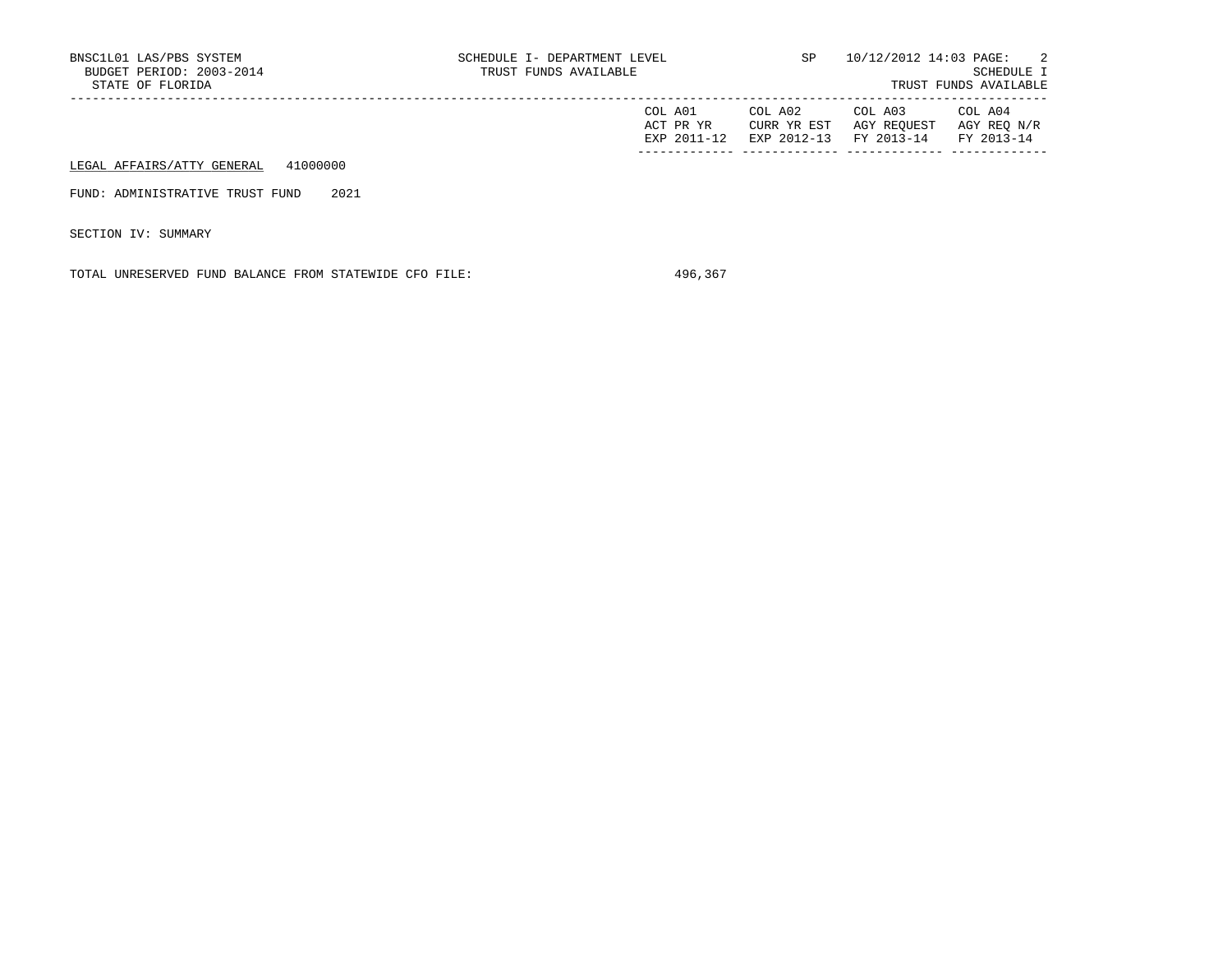| BNSC1L01 LAS/PBS SYSTEM<br>BUDGET PERIOD: 2003-2014 | SCHEDULE I- DEPARTMENT LEVEL<br>TRUST FUNDS AVAILABLE | SP                                    | 10/12/2012 14:03 PAGE:               | $\sim$ 2<br>SCHEDULE I               |
|-----------------------------------------------------|-------------------------------------------------------|---------------------------------------|--------------------------------------|--------------------------------------|
| STATE OF FLORIDA                                    |                                                       |                                       |                                      | TRUST FUNDS AVAILABLE                |
|                                                     | COL A01<br>ACT PR YR<br>EXP 2011-12                   | COL A02<br>CURR YR EST<br>EXP 2012-13 | COL A03<br>AGY REOUEST<br>FY 2013-14 | COL A04<br>AGY REO N/R<br>FY 2013-14 |
| 41000000<br>LEGAL AFFAIRS/ATTY GENERAL              |                                                       |                                       |                                      |                                      |
| 2021<br>FUND: ADMINISTRATIVE TRUST FUND             |                                                       |                                       |                                      |                                      |

SECTION IV: SUMMARY

TOTAL UNRESERVED FUND BALANCE FROM STATEWIDE CFO FILE: 496,367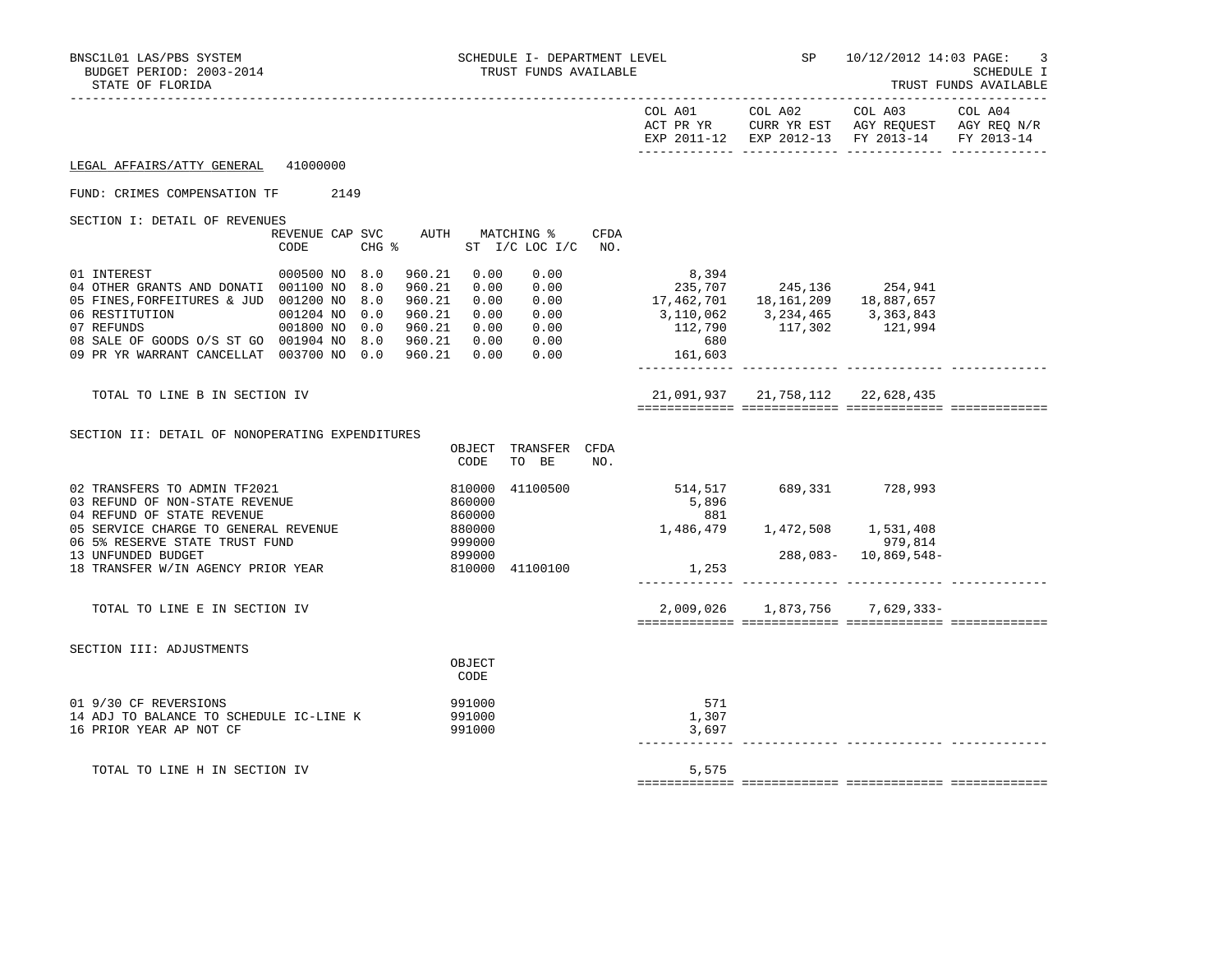| BNSC1L01 LAS/PBS SYSTEM<br>BUDGET PERIOD: 2003-2014<br>STATE OF FLORIDA                                                                                                                                                                                  |                                         |                                                   | SCHEDULE I- DEPARTMENT LEVEL<br>TRUST FUNDS AVAILABLE |                                                                                                          |                                  | SP 10/12/2012 14:03 PAGE:                                                                                                         | 3<br>SCHEDULE I<br>TRUST FUNDS AVAILABLE |
|----------------------------------------------------------------------------------------------------------------------------------------------------------------------------------------------------------------------------------------------------------|-----------------------------------------|---------------------------------------------------|-------------------------------------------------------|----------------------------------------------------------------------------------------------------------|----------------------------------|-----------------------------------------------------------------------------------------------------------------------------------|------------------------------------------|
|                                                                                                                                                                                                                                                          |                                         |                                                   |                                                       |                                                                                                          |                                  | COL A01 COL A02 COL A03 COL A04<br>ACT PR YR CURR YR EST AGY REQUEST AGY REQ N/R<br>EXP 2011-12 EXP 2012-13 FY 2013-14 FY 2013-14 |                                          |
| LEGAL AFFAIRS/ATTY GENERAL 41000000                                                                                                                                                                                                                      |                                         |                                                   |                                                       |                                                                                                          |                                  |                                                                                                                                   |                                          |
| FUND: CRIMES COMPENSATION TF                                                                                                                                                                                                                             | 2149                                    |                                                   |                                                       |                                                                                                          |                                  |                                                                                                                                   |                                          |
| SECTION I: DETAIL OF REVENUES                                                                                                                                                                                                                            | REVENUE CAP SVC AUTH MATCHING %<br>CODE |                                                   | CFDA<br>CHG % ST I/C LOC I/C NO.                      |                                                                                                          |                                  |                                                                                                                                   |                                          |
| 01 INTEREST<br>04 OTHER GRANTS AND DONATI 001100 NO<br>05 FINES, FORFEITURES & JUD 001200 NO 8.0<br>07 REFUNDS 001800 NO 0.0 960.21 0.00<br>08 SALE OF GOODS 0/S ST GO 001904 NO 8.0 960.21 0.00<br>09 PR YR WARRANT CANCELLAT 003700 NO 0.0 960.21 0.00 | 000500 NO 8.0<br>8.0<br>960.21          | 960.21 0.00<br>0.00<br>960.21 0.00<br>960.21 0.00 | 0.00<br>0.00<br>0.00<br>0.00<br>0.00<br>0.00<br>0.00  | 8,394<br>$235,707$<br>17,462,701 18,161,209 18,887,657<br>3, 110, 062 3, 234, 465 3, 363, 843<br>161,603 | $112,790$ $117,302$ $121,994$    |                                                                                                                                   |                                          |
| TOTAL TO LINE B IN SECTION IV                                                                                                                                                                                                                            |                                         |                                                   |                                                       |                                                                                                          | 21,091,937 21,758,112 22,628,435 |                                                                                                                                   |                                          |
| SECTION II: DETAIL OF NONOPERATING EXPENDITURES                                                                                                                                                                                                          |                                         | CODE                                              | OBJECT TRANSFER CFDA<br>TO BE<br>NO.                  |                                                                                                          |                                  |                                                                                                                                   |                                          |
| 02 TRANSFERS TO ADMIN TF2021<br>03 REFUND OF NON-STATE REVENUE<br>04 REFUND OF STATE REVENUE<br>05 SERVICE CHARGE TO GENERAL REVENUE                                                                                                                     |                                         | 810000<br>860000<br>860000<br>880000              | 41100500                                              | 514,517 689,331 728,993<br>5,896<br>881                                                                  |                                  |                                                                                                                                   |                                          |
| 06 5% RESERVE STATE TRUST FUND<br>13 UNFUNDED BUDGET<br>18 TRANSFER W/IN AGENCY PRIOR YEAR                                                                                                                                                               |                                         | 999000<br>899000<br>810000 41100100               |                                                       | 1,486,479 1,472,508 1,531,408<br>979,814 288,083- 10,869,548<br>1,253                                    |                                  | 288,083- 10,869,548-                                                                                                              |                                          |
| TOTAL TO LINE E IN SECTION IV                                                                                                                                                                                                                            |                                         |                                                   |                                                       |                                                                                                          |                                  | 2,009,026 1,873,756 7,629,333-                                                                                                    |                                          |
| SECTION III: ADJUSTMENTS                                                                                                                                                                                                                                 |                                         | OBJECT<br>CODE                                    |                                                       |                                                                                                          |                                  |                                                                                                                                   |                                          |
| 01 9/30 CF REVERSIONS<br>14 ADJ TO BALANCE TO SCHEDULE IC-LINE K<br>16 PRIOR YEAR AP NOT CF                                                                                                                                                              |                                         | 991000<br>991000<br>991000                        |                                                       | 571<br>1,307<br>3,697                                                                                    |                                  |                                                                                                                                   |                                          |
| TOTAL TO LINE H IN SECTION IV                                                                                                                                                                                                                            |                                         |                                                   |                                                       | 5,575                                                                                                    |                                  |                                                                                                                                   |                                          |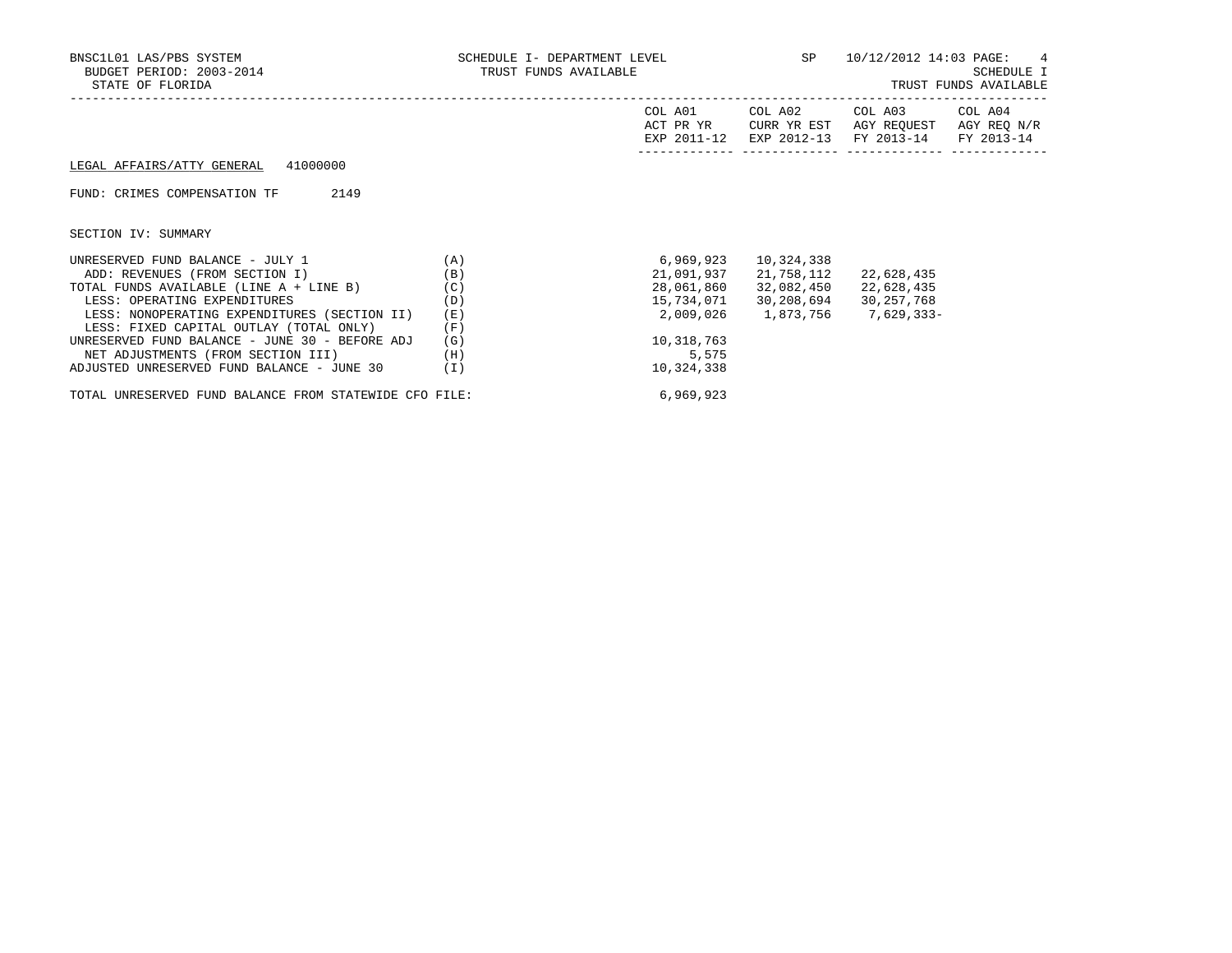| BNSC1L01 LAS/PBS SYSTEM<br>BUDGET PERIOD: 2003-2014<br>STATE OF FLORIDA | SCHEDULE I- DEPARTMENT LEVEL 5P 10/12/2012 14:03 PAGE: 4<br>TRUST FUNDS AVAILABLE |                      |            |                                                                                                                 | SCHEDULE I<br>TRUST FUNDS AVAILABLE |
|-------------------------------------------------------------------------|-----------------------------------------------------------------------------------|----------------------|------------|-----------------------------------------------------------------------------------------------------------------|-------------------------------------|
|                                                                         |                                                                                   | COL A01<br>ACT PR YR |            | COL A02 COL A03 COL A04<br>CURR YR EST AGY REOUEST AGY REO N/R<br>EXP 2011-12 EXP 2012-13 FY 2013-14 FY 2013-14 |                                     |
| LEGAL AFFAIRS/ATTY GENERAL 41000000                                     |                                                                                   |                      |            |                                                                                                                 |                                     |
| 2149<br>FUND: CRIMES COMPENSATION TF                                    |                                                                                   |                      |            |                                                                                                                 |                                     |
| SECTION IV: SUMMARY                                                     |                                                                                   |                      |            |                                                                                                                 |                                     |
| UNRESERVED FUND BALANCE - JULY 1<br>(A)                                 |                                                                                   | 6,969,923            | 10,324,338 |                                                                                                                 |                                     |
| ADD: REVENUES (FROM SECTION I)                                          | (B)                                                                               | 21,091,937           | 21,758,112 | 22,628,435                                                                                                      |                                     |
| TOTAL FUNDS AVAILABLE (LINE A + LINE B)                                 | (C)                                                                               | 28,061,860           | 32,082,450 | 22,628,435                                                                                                      |                                     |
| LESS: OPERATING EXPENDITURES                                            | (D)                                                                               | 15,734,071           | 30,208,694 | 30,257,768                                                                                                      |                                     |
| LESS: NONOPERATING EXPENDITURES (SECTION II)                            | (E)                                                                               |                      |            | 2,009,026 1,873,756 7,629,333-                                                                                  |                                     |
| LESS: FIXED CAPITAL OUTLAY (TOTAL ONLY)                                 | (F)                                                                               |                      |            |                                                                                                                 |                                     |
| UNRESERVED FUND BALANCE - JUNE 30 - BEFORE ADJ                          | (G)                                                                               | 10,318,763           |            |                                                                                                                 |                                     |
| NET ADJUSTMENTS (FROM SECTION III)                                      | (H)                                                                               | 5,575                |            |                                                                                                                 |                                     |
| ADJUSTED UNRESERVED FUND BALANCE - JUNE 30                              | (I)                                                                               | 10,324,338           |            |                                                                                                                 |                                     |

TOTAL UNRESERVED FUND BALANCE FROM STATEWIDE CFO FILE: 6,969,923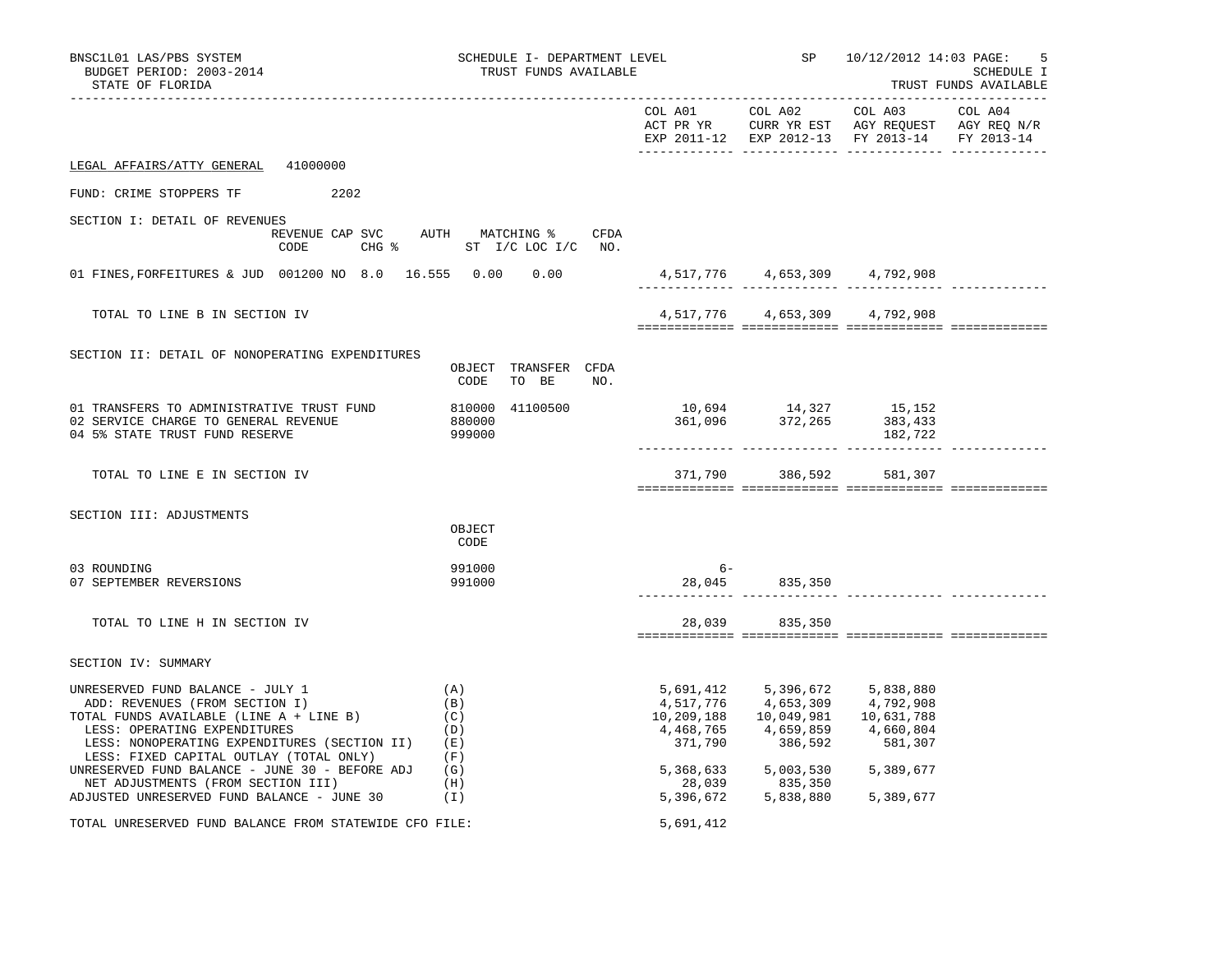| BNSC1L01 LAS/PBS SYSTEM<br>BUDGET PERIOD: 2003-2014<br>STATE OF FLORIDA                                                                                                                                                                                                                                                    |                                                                              | SCHEDULE I- DEPARTMENT LEVEL<br>TRUST FUNDS AVAILABLE |                                                                                                                                                                                     |                                               | SP 10/12/2012 14:03 PAGE:<br>5<br>SCHEDULE I<br>TRUST FUNDS AVAILABLE |  |  |
|----------------------------------------------------------------------------------------------------------------------------------------------------------------------------------------------------------------------------------------------------------------------------------------------------------------------------|------------------------------------------------------------------------------|-------------------------------------------------------|-------------------------------------------------------------------------------------------------------------------------------------------------------------------------------------|-----------------------------------------------|-----------------------------------------------------------------------|--|--|
|                                                                                                                                                                                                                                                                                                                            |                                                                              |                                                       |                                                                                                                                                                                     | EXP 2011-12 EXP 2012-13 FY 2013-14 FY 2013-14 |                                                                       |  |  |
| LEGAL AFFAIRS/ATTY GENERAL 41000000                                                                                                                                                                                                                                                                                        |                                                                              |                                                       |                                                                                                                                                                                     |                                               |                                                                       |  |  |
| 2202<br>FUND: CRIME STOPPERS TF                                                                                                                                                                                                                                                                                            |                                                                              |                                                       |                                                                                                                                                                                     |                                               |                                                                       |  |  |
| SECTION I: DETAIL OF REVENUES<br>CODE                                                                                                                                                                                                                                                                                      | REVENUE CAP SVC AUTH MATCHING % CFDA<br>CHG $\frac{1}{6}$ ST I/C LOC I/C NO. |                                                       |                                                                                                                                                                                     |                                               |                                                                       |  |  |
| 01 FINES, FORFEITURES & JUD 001200 NO 8.0 16.555 0.00 0.00                                                                                                                                                                                                                                                                 |                                                                              |                                                       | 4,517,776 4,653,309 4,792,908                                                                                                                                                       |                                               |                                                                       |  |  |
| TOTAL TO LINE B IN SECTION IV                                                                                                                                                                                                                                                                                              |                                                                              |                                                       |                                                                                                                                                                                     | 4,517,776 4,653,309 4,792,908                 |                                                                       |  |  |
| SECTION II: DETAIL OF NONOPERATING EXPENDITURES                                                                                                                                                                                                                                                                            | OBJECT TRANSFER CFDA<br>CODE<br>TO BE<br>NO.                                 |                                                       |                                                                                                                                                                                     |                                               |                                                                       |  |  |
| 01 TRANSFERS TO ADMINISTRATIVE TRUST FUND<br>02 SERVICE CHARGE TO GENERAL REVENUE<br>04 5% STATE TRUST FUND RESERVE                                                                                                                                                                                                        | 810000 41100500<br>880000<br>999000                                          | 10,694 14,327 15,152<br>361,096 372,265 383,433       |                                                                                                                                                                                     | 182,722                                       |                                                                       |  |  |
| TOTAL TO LINE E IN SECTION IV                                                                                                                                                                                                                                                                                              |                                                                              |                                                       | 371,790 386,592 581,307                                                                                                                                                             |                                               |                                                                       |  |  |
| SECTION III: ADJUSTMENTS                                                                                                                                                                                                                                                                                                   | OBJECT<br>CODE                                                               |                                                       |                                                                                                                                                                                     |                                               |                                                                       |  |  |
| 03 ROUNDING<br>07 SEPTEMBER REVERSIONS                                                                                                                                                                                                                                                                                     | 991000<br>991000                                                             | $6 -$                                                 | 28,045 835,350                                                                                                                                                                      |                                               |                                                                       |  |  |
| TOTAL TO LINE H IN SECTION IV                                                                                                                                                                                                                                                                                              |                                                                              | 28,039                                                | 835,350                                                                                                                                                                             |                                               |                                                                       |  |  |
| SECTION IV: SUMMARY                                                                                                                                                                                                                                                                                                        |                                                                              |                                                       |                                                                                                                                                                                     |                                               |                                                                       |  |  |
| UNRESERVED FUND BALANCE - JULY 1<br>ADD: REVENUES (FROM SECTION I)<br>TAI FUNDS AVAILLED<br>TOTAL FUNDS AVAILABLE (LINE A + LINE B)<br>LESS: OPERATING EXPENDITURES<br>LESS: NONOPERATING EXPENDITURES (SECTION II) (E)<br>LESS: FIXED CAPITAL OUTLAY (TOTAL ONLY)<br>UNRESERVED FUND BALANCE - JUNE 30 - BEFORE ADJ $(G)$ | (A)<br>(B)<br>(C)<br>(D)<br>(F)                                              | 10,209,188<br>371,790                                 | 5,691,412 5,396,672 5,838,880<br>4,517,776 4,653,309 4,792,908<br>$4,468,765$ $4,659,859$ $4,660,804$<br>371,790 386,592 581,307<br>386,592                                         | 581,307                                       |                                                                       |  |  |
| NET ADJUSTMENTS (FROM SECTION III)<br>ADJUSTED UNRESERVED FUND BALANCE - JUNE 30                                                                                                                                                                                                                                           | (H)<br>(I)                                                                   |                                                       | $\begin{array}{llll} 5,368,633 & \phantom{0}5,003,530 & \phantom{0}5,389,677 \\ 28,039 & \phantom{0}835,350 \\ 5,396,672 & \phantom{0}5,838,880 & \phantom{0}5,389,677 \end{array}$ |                                               |                                                                       |  |  |
| TOTAL UNRESERVED FUND BALANCE FROM STATEWIDE CFO FILE:                                                                                                                                                                                                                                                                     |                                                                              | 5,691,412                                             |                                                                                                                                                                                     |                                               |                                                                       |  |  |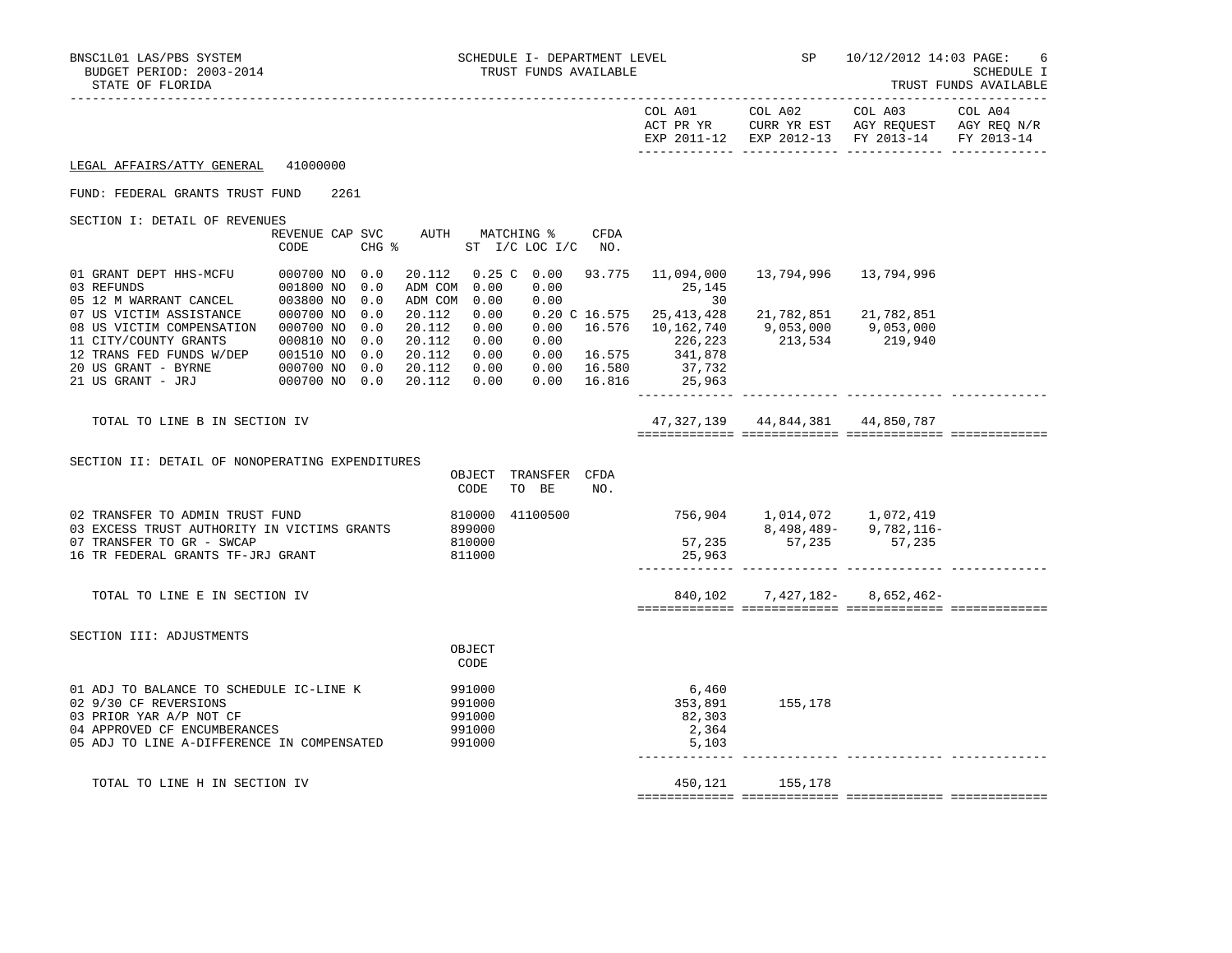|                                                                                                                                                                           |                                                                                            |                                                                                |                                               |                                        |                                                                                                      | EXP 2011-12 EXP 2012-13 FY 2013-14 FY 2013-14           |                           |  |
|---------------------------------------------------------------------------------------------------------------------------------------------------------------------------|--------------------------------------------------------------------------------------------|--------------------------------------------------------------------------------|-----------------------------------------------|----------------------------------------|------------------------------------------------------------------------------------------------------|---------------------------------------------------------|---------------------------|--|
| LEGAL AFFAIRS/ATTY GENERAL                                                                                                                                                | 41000000                                                                                   |                                                                                |                                               |                                        |                                                                                                      |                                                         |                           |  |
| FUND: FEDERAL GRANTS TRUST FUND                                                                                                                                           | 2261                                                                                       |                                                                                |                                               |                                        |                                                                                                      |                                                         |                           |  |
| SECTION I: DETAIL OF REVENUES                                                                                                                                             | REVENUE CAP SVC<br>CODE                                                                    | $CHG$ $\approx$                                                                | AUTH MATCHING %<br>ST I/C LOC I/C NO.         | CFDA                                   |                                                                                                      |                                                         |                           |  |
| 01 GRANT DEPT HHS-MCFU<br>03 REFUNDS<br>05 12 M WARRANT CANCEL                                                                                                            | 000700 NO 0.0<br>001800 NO 0.0<br>003800 NO 0.0                                            | 20.112<br>ADM COM 0.00<br>ADM COM 0.00                                         | $0.25 \, \text{C} \quad 0.00$<br>0.00<br>0.00 | 93.775                                 | 11,094,000<br>25,145<br>30                                                                           |                                                         |                           |  |
| 07 US VICTIM ASSISTANCE<br>08 US VICTIM COMPENSATION<br>11 CITY/COUNTY GRANTS<br>12 TRANS FED FUNDS W/DEP<br>20 US GRANT - BYRNE                                          | 000700 NO<br>0.0<br>000700 NO<br>0.0<br>000810 NO<br>0.0<br>001510 NO 0.0<br>000700 NO 0.0 | 20.112<br>0.00<br>20.112<br>0.00<br>20.112<br>0.00<br>20.112<br>0.00<br>20.112 | 0.00<br>0.00<br>0.00                          | 16.576<br>$0.00$ 16.575<br>0.00 16.580 | $0.20 \text{ } \text{ } \text{ } C16.575$ 25, 413, 428<br>10,162,740<br>226,223<br>341,878<br>37,732 | 21,782,851 21,782,851<br>9,053,000 9,053,000<br>213,534 | 219,940                   |  |
| 21 US GRANT - JRJ                                                                                                                                                         | 000700 NO 0.0                                                                              | 20.112<br>0.00                                                                 |                                               | 0.00 16.816                            | 25,963                                                                                               |                                                         |                           |  |
| TOTAL TO LINE B IN SECTION IV                                                                                                                                             |                                                                                            |                                                                                |                                               |                                        |                                                                                                      | 47, 327, 139 44, 844, 381 44, 850, 787                  |                           |  |
| SECTION II: DETAIL OF NONOPERATING EXPENDITURES                                                                                                                           |                                                                                            | OBJECT<br>CODE                                                                 | TRANSFER CFDA<br>TO BE                        | NO.                                    |                                                                                                      |                                                         |                           |  |
| 02 TRANSFER TO ADMIN TRUST FUND<br>03 EXCESS TRUST AUTHORITY IN VICTIMS GRANTS<br>07 TRANSFER TO GR - SWCAP<br>16 TR FEDERAL GRANTS TF-JRJ GRANT                          |                                                                                            | 810000<br>899000<br>810000<br>811000                                           | 41100500                                      |                                        | 25,963                                                                                               | 756,904 1,014,072 1,072,419<br>57, 235 57, 235 57, 235  | $8,498,489 - 9,782,116 -$ |  |
| TOTAL TO LINE E IN SECTION IV                                                                                                                                             |                                                                                            |                                                                                |                                               |                                        |                                                                                                      | 840,102 7,427,182- 8,652,462-                           |                           |  |
| SECTION III: ADJUSTMENTS                                                                                                                                                  |                                                                                            | OBJECT<br>CODE                                                                 |                                               |                                        |                                                                                                      |                                                         |                           |  |
| 01 ADJ TO BALANCE TO SCHEDULE IC-LINE K<br>02 9/30 CF REVERSIONS<br>03 PRIOR YAR A/P NOT CF<br>04 APPROVED CF ENCUMBERANCES<br>05 ADJ TO LINE A-DIFFERENCE IN COMPENSATED |                                                                                            | 991000<br>991000<br>991000<br>991000<br>991000                                 |                                               |                                        | 6,460<br>353,891<br>82,303<br>2,364<br>5,103                                                         | 155,178                                                 |                           |  |
| TOTAL TO LINE H IN SECTION IV                                                                                                                                             |                                                                                            |                                                                                |                                               |                                        | 450,121                                                                                              | 155,178                                                 |                           |  |

============= ============= ============= =============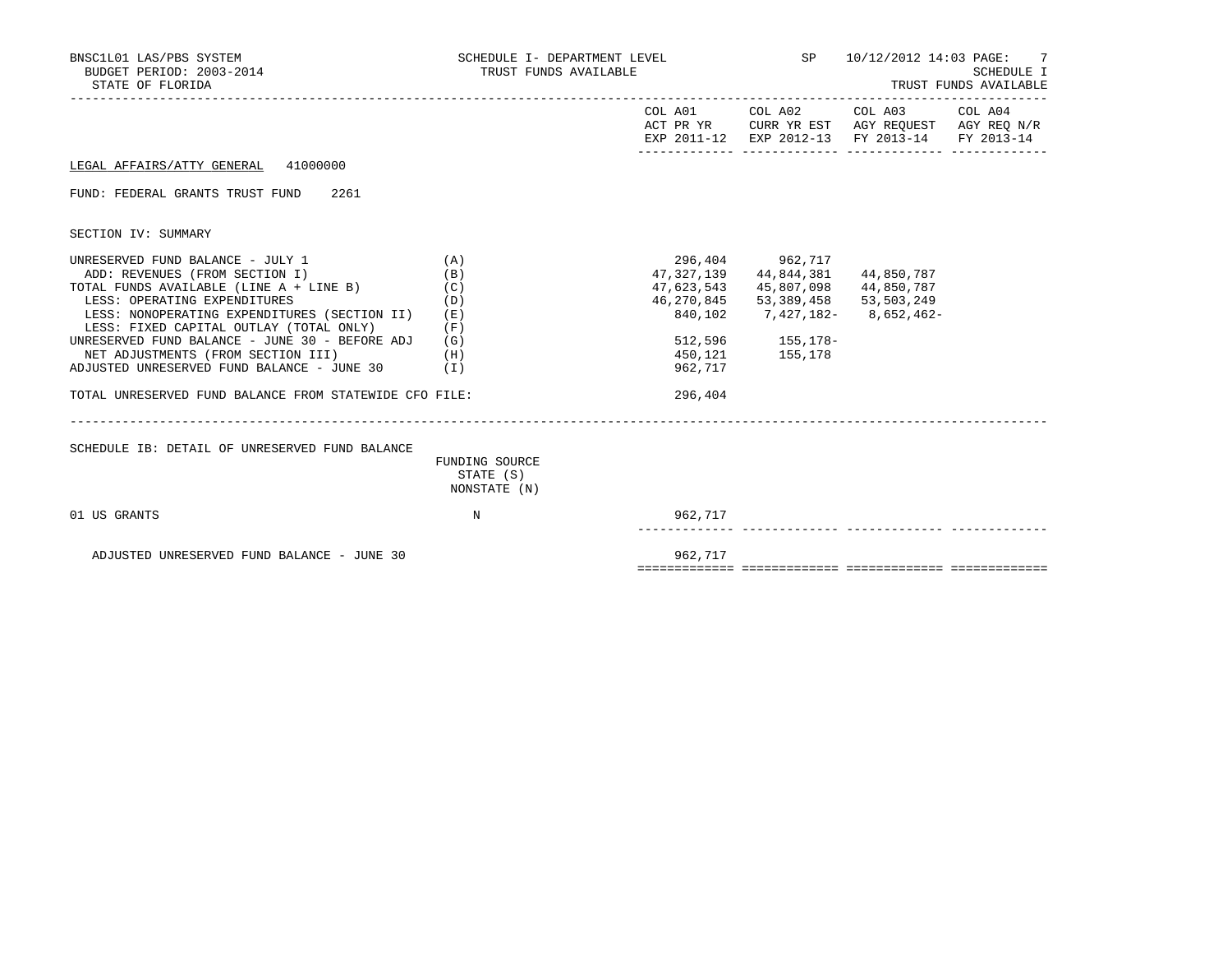| BNSC1L01 LAS/PBS SYSTEM<br>BUDGET PERIOD: 2003-2014<br>STATE OF FLORIDA                                                                                                                                                                                                                                                                                                                                                                        |                                                      | SCHEDULE I- DEPARTMENT LEVEL<br>TRUST FUNDS AVAILABLE                   |                                                                                                    | SP 10/12/2012 14:03 PAGE: 7<br>SCHEDULE I<br>TRUST FUNDS AVAILABLE                                                                |  |  |
|------------------------------------------------------------------------------------------------------------------------------------------------------------------------------------------------------------------------------------------------------------------------------------------------------------------------------------------------------------------------------------------------------------------------------------------------|------------------------------------------------------|-------------------------------------------------------------------------|----------------------------------------------------------------------------------------------------|-----------------------------------------------------------------------------------------------------------------------------------|--|--|
|                                                                                                                                                                                                                                                                                                                                                                                                                                                |                                                      |                                                                         |                                                                                                    | COL A01 COL A02 COL A03 COL A04<br>ACT PR YR CURR YR EST AGY REQUEST AGY REQ N/R<br>EXP 2011-12 EXP 2012-13 FY 2013-14 FY 2013-14 |  |  |
| LEGAL AFFAIRS/ATTY GENERAL 41000000                                                                                                                                                                                                                                                                                                                                                                                                            |                                                      |                                                                         |                                                                                                    |                                                                                                                                   |  |  |
| FUND: FEDERAL GRANTS TRUST FUND 2261                                                                                                                                                                                                                                                                                                                                                                                                           |                                                      |                                                                         |                                                                                                    |                                                                                                                                   |  |  |
| SECTION IV: SUMMARY                                                                                                                                                                                                                                                                                                                                                                                                                            |                                                      |                                                                         |                                                                                                    |                                                                                                                                   |  |  |
| UNRESERVED FUND BALANCE - JULY 1<br>ADD: REVENUES (FROM SECTION I)<br>TOTAL FUNDS AVAILABLE (LINE A + LINE B)<br>LESS: OPERATING EXPENDITURES<br>LESS: NONOPERATING EXPENDITURES (SECTION II)<br>LESS: FIXED CAPITAL OUTLAY (TOTAL ONLY)<br>UNRESERVED FUND BALANCE - JUNE 30 - BEFORE ADJ<br>NET ADJUSTMENTS (FROM SECTION III)<br>ADJUSTED UNRESERVED FUND BALANCE - JUNE $30$ (I)<br>TOTAL UNRESERVED FUND BALANCE FROM STATEWIDE CFO FILE: | (A)<br>(B)<br>(C)<br>(D)<br>(E)<br>(F)<br>(G)<br>(H) | 47,327,139<br>47,623,543<br>46,270,845<br>840,102<br>962,717<br>296,404 | 296,404 962,717<br>44,844,381<br>45,807,098<br>53,389,458<br>512,596 155,178-<br>450, 121 155, 178 | 44,850,787<br>44,850,787<br>53,503,249<br>7,427,182-8,652,462-                                                                    |  |  |
| SCHEDULE IB: DETAIL OF UNRESERVED FUND BALANCE                                                                                                                                                                                                                                                                                                                                                                                                 | FUNDING SOURCE<br>STATE (S)<br>NONSTATE (N)          |                                                                         |                                                                                                    |                                                                                                                                   |  |  |
| 01 US GRANTS                                                                                                                                                                                                                                                                                                                                                                                                                                   | N                                                    | 962,717                                                                 |                                                                                                    |                                                                                                                                   |  |  |
| ADJUSTED UNRESERVED FUND BALANCE - JUNE 30                                                                                                                                                                                                                                                                                                                                                                                                     |                                                      | 962,717                                                                 |                                                                                                    |                                                                                                                                   |  |  |

============= ============= ============= =============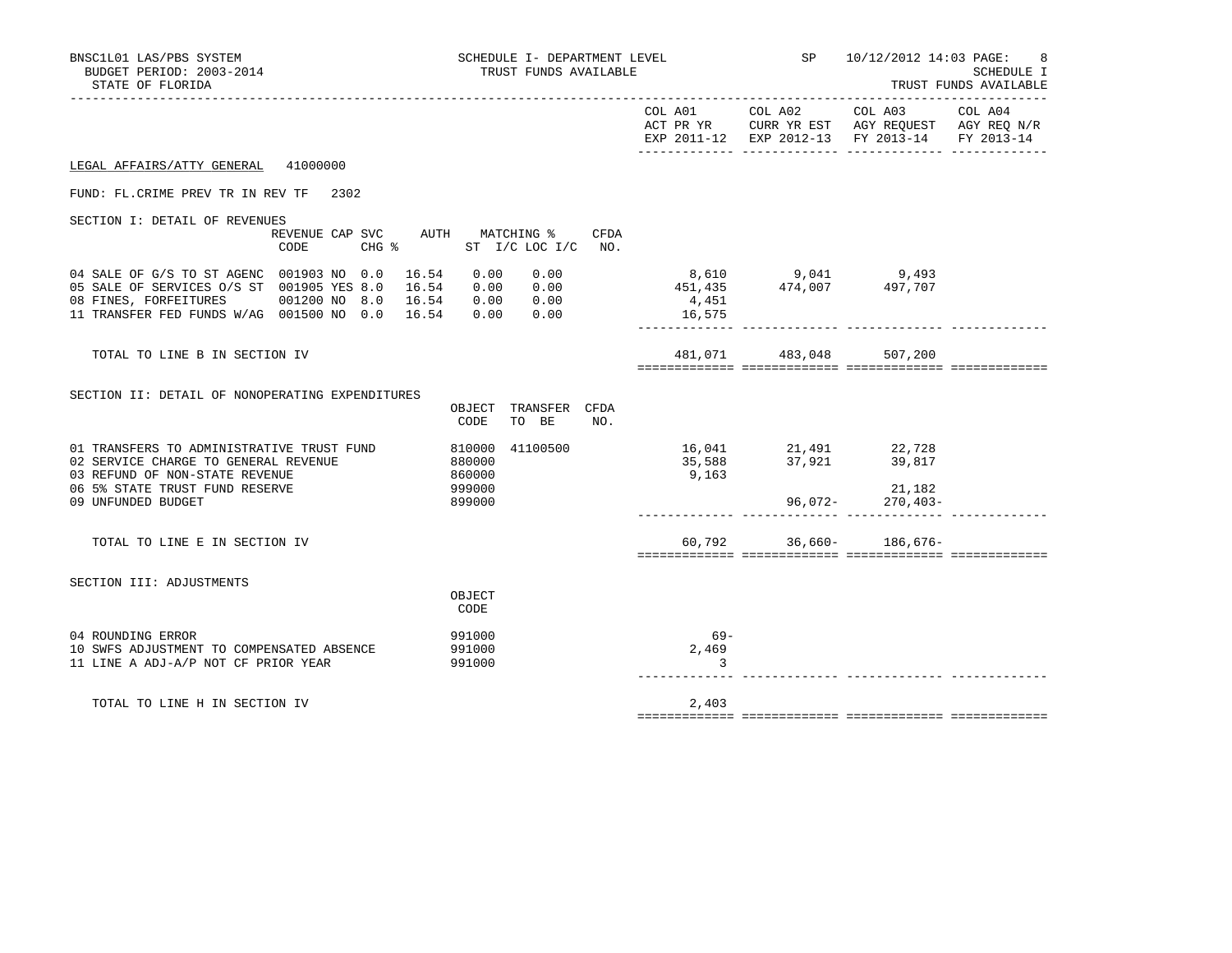| BNSC1L01 LAS/PBS SYSTEM<br>BUDGET PERIOD: 2003-2014<br>STATE OF FLORIDA                                                                                                                                      | SCHEDULE I- DEPARTMENT LEVEL<br>TRUST FUNDS AVAILABLE        |                            | <b>SP</b> SP                              | 10/12/2012 14:03 PAGE:                                                                                            | SCHEDULE I<br>TRUST FUNDS AVAILABLE |
|--------------------------------------------------------------------------------------------------------------------------------------------------------------------------------------------------------------|--------------------------------------------------------------|----------------------------|-------------------------------------------|-------------------------------------------------------------------------------------------------------------------|-------------------------------------|
|                                                                                                                                                                                                              |                                                              |                            | COL A01 COL A02                           | COL A03 COL A04<br>ACT PR YR CURR YR EST AGY REQUEST AGY REQ N/R<br>EXP 2011-12 EXP 2012-13 FY 2013-14 FY 2013-14 |                                     |
| 41000000<br>LEGAL AFFAIRS/ATTY GENERAL                                                                                                                                                                       |                                                              |                            |                                           |                                                                                                                   |                                     |
| FUND: FL. CRIME PREV TR IN REV TF 2302                                                                                                                                                                       |                                                              |                            |                                           |                                                                                                                   |                                     |
| SECTION I: DETAIL OF REVENUES<br>REVENUE CAP SVC AUTH MATCHING %<br>CODE<br>$CHG$ %                                                                                                                          | <b>CFDA</b><br>ST I/C LOC I/C NO.                            |                            |                                           |                                                                                                                   |                                     |
| 04 SALE OF G/S TO ST AGENC 001903 NO 0.0<br>16.54<br>05 SALE OF SERVICES O/S ST 001905 YES 8.0<br>16.54<br>08 FINES, FORFEITURES<br>001200 NO 8.0<br>16.54<br>11 TRANSFER FED FUNDS W/AG 001500 NO 0.0 16.54 | 0.00<br>0.00<br>0.00<br>0.00<br>0.00<br>0.00<br>0.00<br>0.00 | 451,435<br>4,451<br>16,575 |                                           | 8,610 9,041 9,493<br>474,007 497,707                                                                              |                                     |
| TOTAL TO LINE B IN SECTION IV                                                                                                                                                                                |                                                              | 481,071                    | 483,048                                   | 507,200                                                                                                           |                                     |
| SECTION II: DETAIL OF NONOPERATING EXPENDITURES                                                                                                                                                              | OBJECT TRANSFER CFDA<br>TO BE<br>CODE<br>NO.                 |                            |                                           |                                                                                                                   |                                     |
| 01 TRANSFERS TO ADMINISTRATIVE TRUST FUND<br>02 SERVICE CHARGE TO GENERAL REVENUE<br>03 REFUND OF NON-STATE REVENUE<br>06 5% STATE TRUST FUND RESERVE<br>09 UNFUNDED BUDGET                                  | 810000 41100500<br>880000<br>860000<br>999000<br>899000      | 9,163                      | 16,041 21,491<br>35,588 37,921<br>96,072- | 22,728<br>39,817<br>21,182<br>$270, 403 -$                                                                        |                                     |
| TOTAL TO LINE E IN SECTION IV                                                                                                                                                                                |                                                              |                            | $60,792$ 36,660-                          | 186,676-                                                                                                          |                                     |
| SECTION III: ADJUSTMENTS                                                                                                                                                                                     | OBJECT<br>CODE                                               |                            |                                           |                                                                                                                   |                                     |
| 04 ROUNDING ERROR<br>10 SWFS ADJUSTMENT TO COMPENSATED ABSENCE<br>11 LINE A ADJ-A/P NOT CF PRIOR YEAR                                                                                                        | 991000<br>991000<br>991000                                   | $69 -$<br>2,469<br>3       |                                           |                                                                                                                   |                                     |
| TOTAL TO LINE H IN SECTION IV                                                                                                                                                                                |                                                              | 2,403                      |                                           |                                                                                                                   |                                     |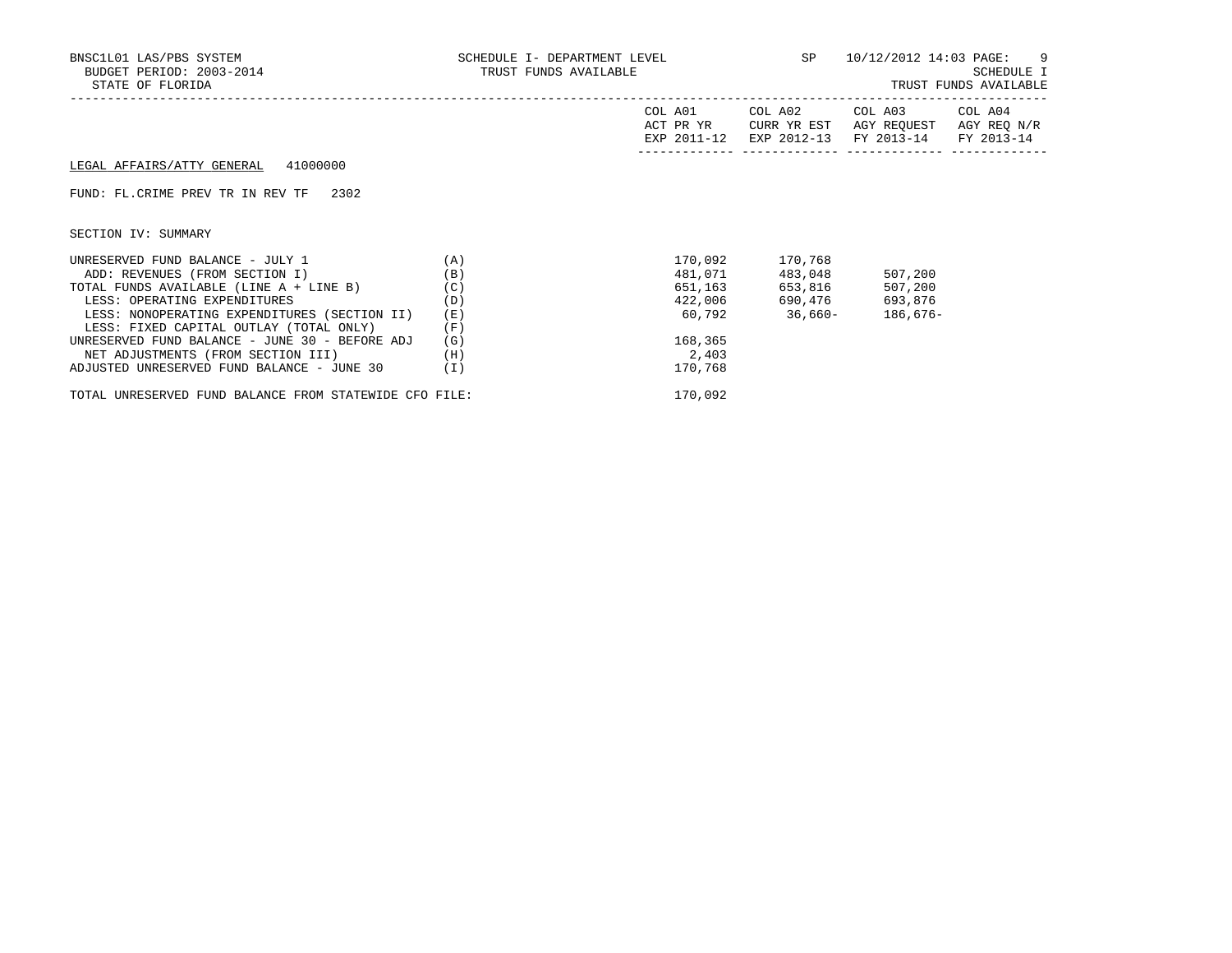| BNSC1L01 LAS/PBS SYSTEM<br>BUDGET PERIOD: 2003-2014<br>STATE OF FLORIDA | SCHEDULE I- DEPARTMENT LEVEL $SP$ $10/12/2012$ $14:03$ $PAGE:$ 9<br>TRUST FUNDS AVAILABLE |                                     |             |                                                                              | SCHEDULE I<br>TRUST FUNDS AVAILABLE |
|-------------------------------------------------------------------------|-------------------------------------------------------------------------------------------|-------------------------------------|-------------|------------------------------------------------------------------------------|-------------------------------------|
|                                                                         |                                                                                           | COL A01<br>ACT PR YR<br>EXP 2011-12 | CURR YR EST | COL A02 COL A03 COL A04<br>AGY REQUEST AGY REQ N/R<br>EXP 2012-13 FY 2013-14 | FY 2013-14                          |
| LEGAL AFFAIRS/ATTY GENERAL<br>41000000                                  |                                                                                           |                                     |             |                                                                              |                                     |
| FUND: FL. CRIME PREV TR IN REV TF<br>2302                               |                                                                                           |                                     |             |                                                                              |                                     |
| SECTION IV: SUMMARY                                                     |                                                                                           |                                     |             |                                                                              |                                     |
| (A)<br>UNRESERVED FUND BALANCE - JULY 1                                 |                                                                                           | 170,092                             | 170,768     |                                                                              |                                     |
| ADD: REVENUES (FROM SECTION I)                                          | (B)                                                                                       | 481,071                             | 483,048     | 507,200                                                                      |                                     |
| TOTAL FUNDS AVAILABLE (LINE A + LINE B)                                 | (C)                                                                                       | 651,163                             | 653,816     | 507,200                                                                      |                                     |
| LESS: OPERATING EXPENDITURES                                            | (D)                                                                                       | 422,006                             | 690,476     | 693,876                                                                      |                                     |
| LESS: NONOPERATING EXPENDITURES (SECTION II)                            | (E)                                                                                       | 60,792                              | $36,660-$   | 186,676-                                                                     |                                     |
| LESS: FIXED CAPITAL OUTLAY (TOTAL ONLY)                                 | (F)                                                                                       |                                     |             |                                                                              |                                     |
| UNRESERVED FUND BALANCE - JUNE 30 - BEFORE ADJ                          | (G)                                                                                       | 168,365                             |             |                                                                              |                                     |
| NET ADJUSTMENTS (FROM SECTION III)                                      | (H)                                                                                       | 2,403                               |             |                                                                              |                                     |
| ADJUSTED UNRESERVED FUND BALANCE - JUNE 30                              | (I)                                                                                       | 170,768                             |             |                                                                              |                                     |

TOTAL UNRESERVED FUND BALANCE FROM STATEWIDE CFO FILE: 170,092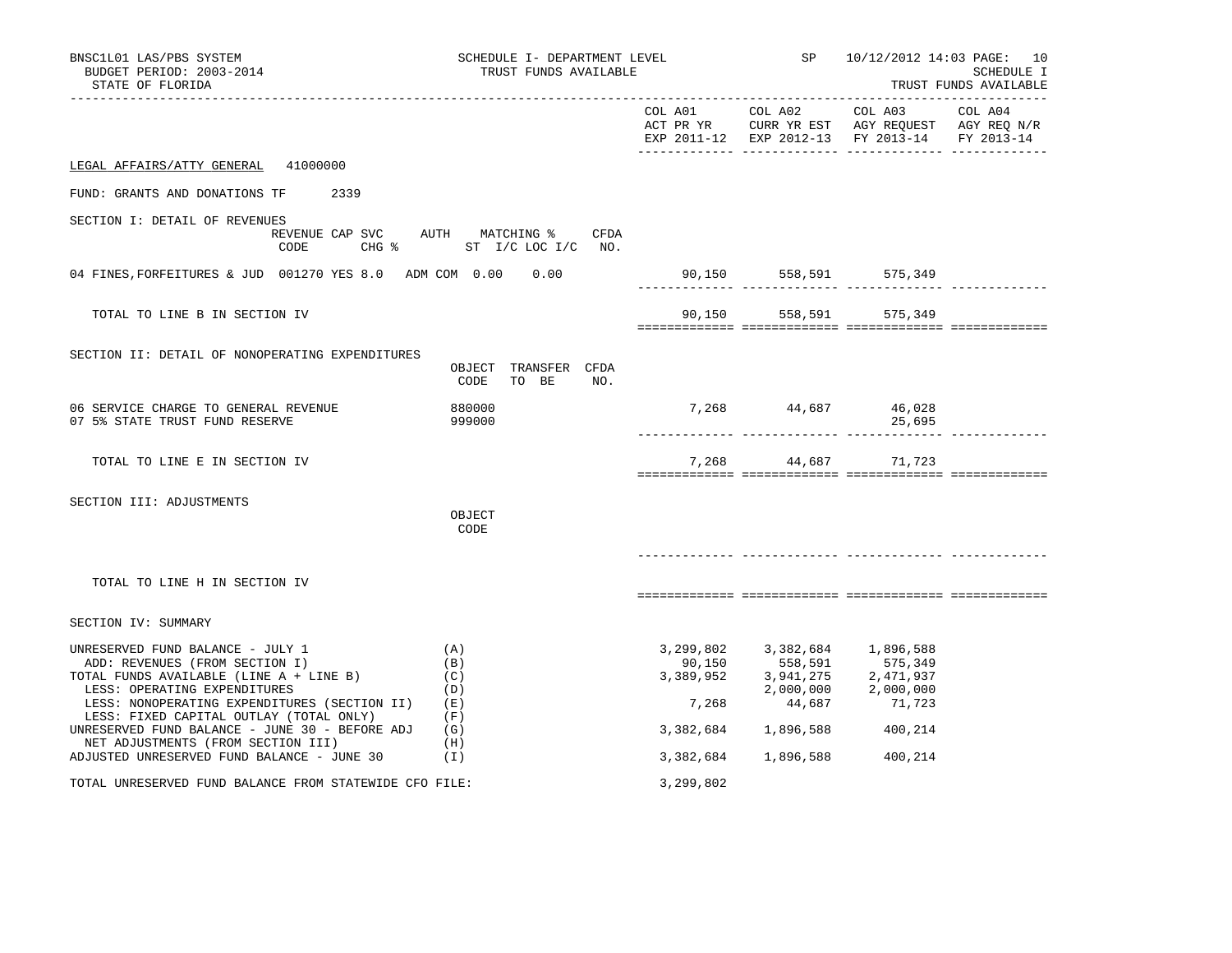| BNSC1L01 LAS/PBS SYSTEM<br>BUDGET PERIOD: 2003-2014<br>STATE OF FLORIDA                                                                                                                                                                  | SCHEDULE I- DEPARTMENT LEVEL<br>TRUST FUNDS AVAILABLE            |                              |                                                                                                                   |                                                          | SP 10/12/2012 14:03 PAGE: 10<br><b>SCHEDULE I</b><br>TRUST FUNDS AVAILABLE |
|------------------------------------------------------------------------------------------------------------------------------------------------------------------------------------------------------------------------------------------|------------------------------------------------------------------|------------------------------|-------------------------------------------------------------------------------------------------------------------|----------------------------------------------------------|----------------------------------------------------------------------------|
|                                                                                                                                                                                                                                          |                                                                  |                              | COL A01 COL A02<br>ACT PR YR CURR YR EST AGY REQUEST AGY REQ N/R<br>EXP 2011-12 EXP 2012-13 FY 2013-14 FY 2013-14 | COL A03                                                  | COL A04                                                                    |
| 41000000<br>LEGAL AFFAIRS/ATTY GENERAL                                                                                                                                                                                                   |                                                                  |                              |                                                                                                                   |                                                          |                                                                            |
| FUND: GRANTS AND DONATIONS TF<br>2339                                                                                                                                                                                                    |                                                                  |                              |                                                                                                                   |                                                          |                                                                            |
| SECTION I: DETAIL OF REVENUES<br>CODE                                                                                                                                                                                                    | REVENUE CAP SVC AUTH MATCHING % CFDA<br>CHG % ST I/C LOC I/C NO. |                              |                                                                                                                   |                                                          |                                                                            |
| 04 FINES, FORFEITURES & JUD 001270 YES 8.0 ADM COM 0.00 0.00                                                                                                                                                                             |                                                                  |                              | 90,150 558,591 575,349<br>______ ______________ ___________                                                       |                                                          |                                                                            |
| TOTAL TO LINE B IN SECTION IV                                                                                                                                                                                                            |                                                                  |                              | 90,150 558,591 575,349                                                                                            |                                                          |                                                                            |
| SECTION II: DETAIL OF NONOPERATING EXPENDITURES                                                                                                                                                                                          | OBJECT TRANSFER CFDA<br>CODE TO BE<br>NO.                        |                              |                                                                                                                   |                                                          |                                                                            |
| 06 SERVICE CHARGE TO GENERAL REVENUE<br>07 5% STATE TRUST FUND RESERVE                                                                                                                                                                   | 880000<br>999000                                                 |                              | 7,268 44,687 46,028                                                                                               | 25,695                                                   |                                                                            |
| TOTAL TO LINE E IN SECTION IV                                                                                                                                                                                                            |                                                                  | 7,268                        | 44,687                                                                                                            | 71,723                                                   |                                                                            |
| SECTION III: ADJUSTMENTS                                                                                                                                                                                                                 | OBJECT<br>CODE                                                   |                              |                                                                                                                   |                                                          |                                                                            |
| TOTAL TO LINE H IN SECTION IV                                                                                                                                                                                                            |                                                                  |                              |                                                                                                                   |                                                          |                                                                            |
| SECTION IV: SUMMARY                                                                                                                                                                                                                      |                                                                  |                              |                                                                                                                   |                                                          |                                                                            |
| UNRESERVED FUND BALANCE - JULY 1<br>ADD: REVENUES (FROM SECTION I)<br>TOTAL FUNDS AVAILABLE (LINE A + LINE B)<br>LESS: OPERATING EXPENDITURES<br>LESS: NONOPERATING EXPENDITURES (SECTION II)<br>LESS: FIXED CAPITAL OUTLAY (TOTAL ONLY) | (A)<br>(B)<br>(C)<br>(D)<br>(E)<br>(F)                           | 90,150<br>3,389,952<br>7,268 | 3,299,802 3,382,684<br>558,591<br>3,941,275<br>2,000,000<br>44,687                                                | 1,896,588<br>575,349<br>2,471,937<br>2,000,000<br>71,723 |                                                                            |
| UNRESERVED FUND BALANCE - JUNE 30 - BEFORE ADJ<br>NET ADJUSTMENTS (FROM SECTION III)                                                                                                                                                     | (G)<br>(H)                                                       | 3,382,684                    | 1,896,588                                                                                                         | 400,214                                                  |                                                                            |
| ADJUSTED UNRESERVED FUND BALANCE - JUNE 30                                                                                                                                                                                               | (1)                                                              | 3,382,684                    | 1,896,588                                                                                                         | 400,214                                                  |                                                                            |
| TOTAL UNRESERVED FUND BALANCE FROM STATEWIDE CFO FILE:                                                                                                                                                                                   |                                                                  | 3,299,802                    |                                                                                                                   |                                                          |                                                                            |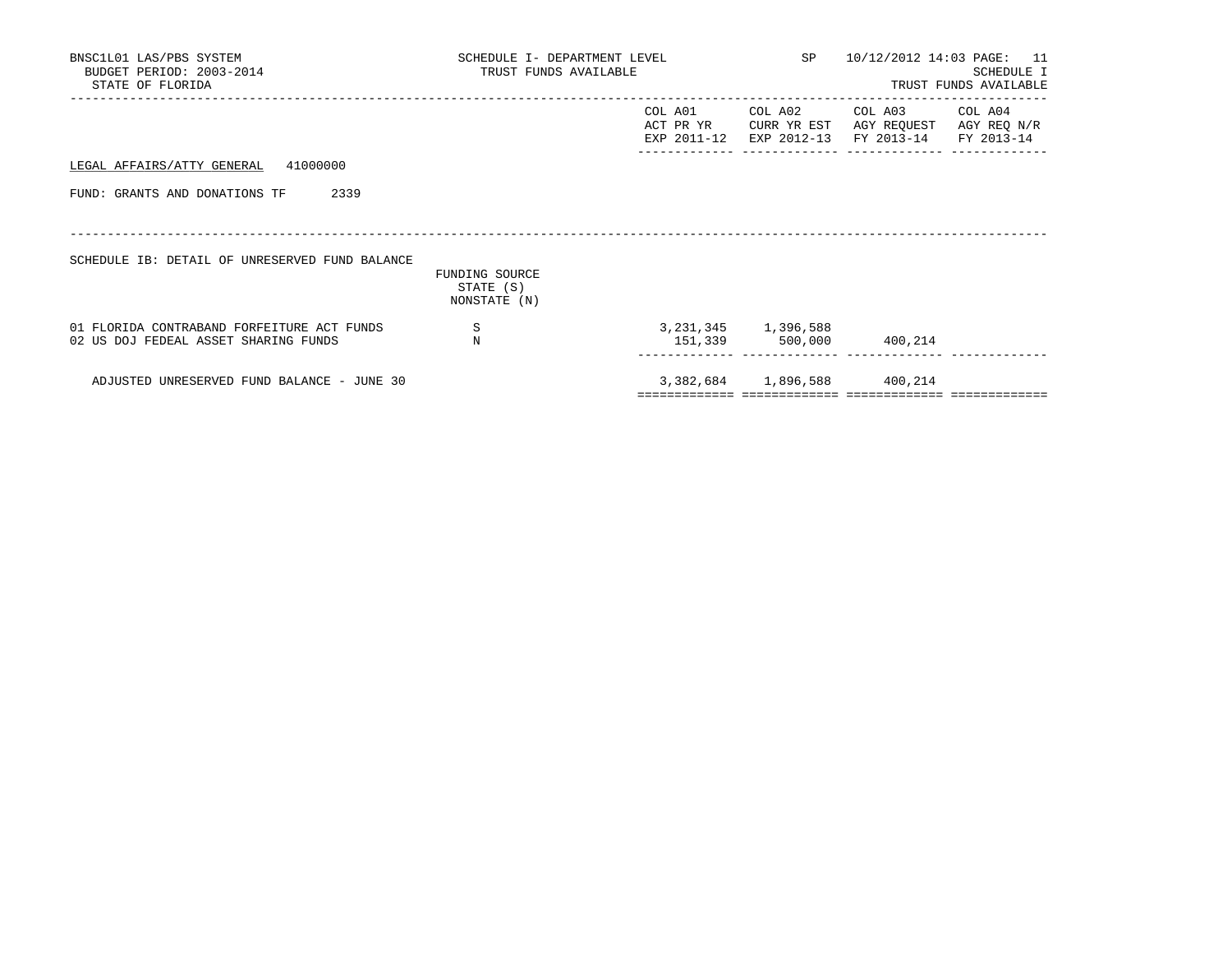| BNSC1L01 LAS/PBS SYSTEM<br>BUDGET PERIOD: 2003-2014<br>STATE OF FLORIDA            | SCHEDULE I- DEPARTMENT LEVEL<br>TRUST FUNDS AVAILABLE |                                     | SP 10/12/2012 14:03 PAGE: 11 | SCHEDULE I<br>TRUST FUNDS AVAILABLE                                             |  |
|------------------------------------------------------------------------------------|-------------------------------------------------------|-------------------------------------|------------------------------|---------------------------------------------------------------------------------|--|
|                                                                                    |                                                       | COL A01<br>ACT PR YR<br>EXP 2011-12 | COL A02<br>CURR YR EST       | COL A03 COL A04<br>AGY REQUEST AGY REQ N/R<br>EXP 2012-13 FY 2013-14 FY 2013-14 |  |
| 41000000<br>LEGAL AFFAIRS/ATTY GENERAL                                             |                                                       |                                     |                              |                                                                                 |  |
| FUND: GRANTS AND DONATIONS TF<br>2339                                              |                                                       |                                     |                              |                                                                                 |  |
|                                                                                    |                                                       |                                     |                              |                                                                                 |  |
| SCHEDULE IB: DETAIL OF UNRESERVED FUND BALANCE                                     | FUNDING SOURCE<br>STATE (S)<br>NONSTATE (N)           |                                     |                              |                                                                                 |  |
| 01 FLORIDA CONTRABAND FORFEITURE ACT FUNDS<br>02 US DOJ FEDEAL ASSET SHARING FUNDS | S<br>N                                                |                                     | 3, 231, 345 1, 396, 588      | 151,339 500,000 400,214                                                         |  |
| ADJUSTED UNRESERVED FUND BALANCE - JUNE 30                                         |                                                       |                                     | 3,382,684 1,896,588 400,214  |                                                                                 |  |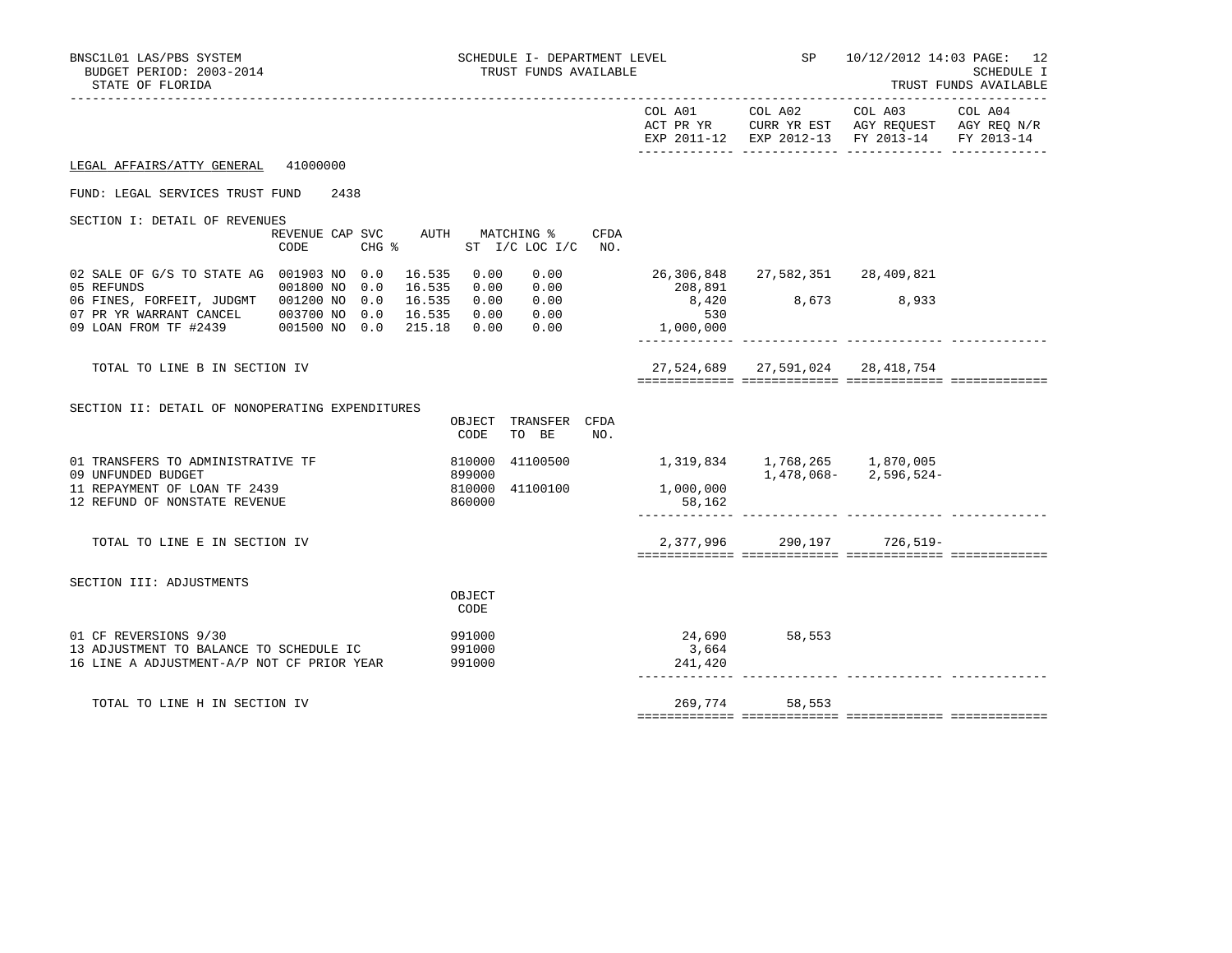| BNSC1L01 LAS/PBS SYSTEM<br>BUDGET PERIOD: 2003-2014<br>STATE OF FLORIDA                                                                         |                  | SCHEDULE I- DEPARTMENT LEVEL<br>TRUST FUNDS AVAILABLE |                                        | <b>SP</b>                        |                                               | 10/12/2012 14:03 PAGE: 12<br>SCHEDULE I<br>TRUST FUNDS AVAILABLE |
|-------------------------------------------------------------------------------------------------------------------------------------------------|------------------|-------------------------------------------------------|----------------------------------------|----------------------------------|-----------------------------------------------|------------------------------------------------------------------|
|                                                                                                                                                 |                  |                                                       |                                        |                                  | EXP 2011-12 EXP 2012-13 FY 2013-14 FY 2013-14 |                                                                  |
| LEGAL AFFAIRS/ATTY GENERAL 41000000                                                                                                             |                  |                                                       |                                        |                                  |                                               |                                                                  |
| FUND: LEGAL SERVICES TRUST FUND 2438                                                                                                            |                  |                                                       |                                        |                                  |                                               |                                                                  |
| SECTION I: DETAIL OF REVENUES<br>REVENUE CAP SVC AUTH MATCHING %<br>CODE                                                                        |                  | <b>CFDA</b><br>CHG $\frac{1}{2}$ ST I/C LOC I/C NO.   |                                        |                                  |                                               |                                                                  |
| 02 SALE OF G/S TO STATE AG 001903 NO 0.0<br>16.535<br>05 REFUNDS<br>001800 NO 0.0<br>16.535                                                     | 0.00<br>0.00     | 0.00<br>0.00                                          | 208,891                                | 26,306,848 27,582,351 28,409,821 |                                               |                                                                  |
| 06 FINES, FORFEIT, JUDGMT 001200 NO 0.0<br>16.535<br>07 PR YR WARRANT CANCEL 003700 NO 0.0 16.535<br>09 LOAN FROM TF #2439 001500 NO 0.0 215.18 |                  | 0.00 0.00<br>0.00 0.00<br>0.00 0.00                   | 530<br>1,000,000                       | 8,420 8,673 8,933                |                                               |                                                                  |
| TOTAL TO LINE B IN SECTION IV                                                                                                                   |                  |                                                       |                                        | 27,524,689 27,591,024 28,418,754 |                                               |                                                                  |
| SECTION II: DETAIL OF NONOPERATING EXPENDITURES                                                                                                 | CODE             | OBJECT TRANSFER CFDA<br>TO BE<br>NO.                  |                                        |                                  |                                               |                                                                  |
| 01 TRANSFERS TO ADMINISTRATIVE TF                                                                                                               | 810000<br>899000 |                                                       | 41100500 1,319,834 1,768,265 1,870,005 |                                  | $1,478,068 - 2,596,524 -$                     |                                                                  |
| 09 UNFUNDED BUDGET<br>11 REPAYMENT OF LOAN TF 2439<br>12 REFUND OF NONSTATE REVENUE                                                             | 810000<br>860000 | 41100100                                              | 1,000,000<br>58,162                    |                                  |                                               |                                                                  |
| TOTAL TO LINE E IN SECTION IV                                                                                                                   |                  |                                                       |                                        |                                  | 2,377,996 290,197 726,519-                    |                                                                  |
| SECTION III: ADJUSTMENTS                                                                                                                        | OBJECT<br>CODE   |                                                       |                                        |                                  |                                               |                                                                  |
| 01 CF REVERSIONS 9/30<br>13 ADJUSTMENT TO BALANCE TO SCHEDULE IC<br>16 LINE A ADJUSTMENT-A/P NOT CF PRIOR YEAR 991000                           | 991000<br>991000 |                                                       | 3,664<br>241,420                       | 24,690 58,553                    |                                               |                                                                  |
| TOTAL TO LINE H IN SECTION IV                                                                                                                   |                  |                                                       |                                        | 269,774 58,553                   |                                               |                                                                  |
|                                                                                                                                                 |                  |                                                       |                                        |                                  |                                               |                                                                  |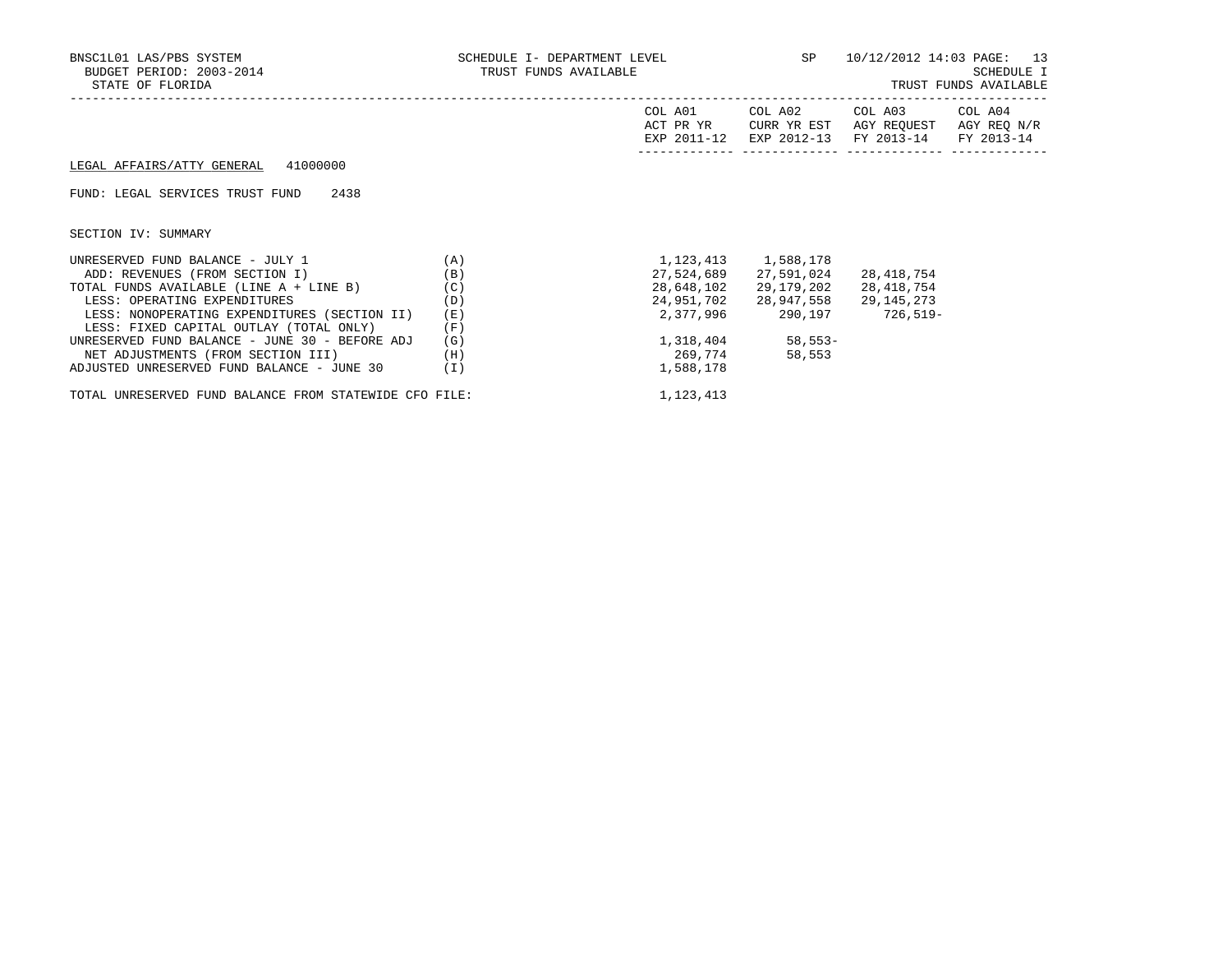| BNSC1L01 LAS/PBS SYSTEM<br>BUDGET PERIOD: 2003-2014<br>STATE OF FLORIDA | SCHEDULE I- DEPARTMENT LEVEL 5P 10/12/2012 14:03 PAGE: 13<br>TRUST FUNDS AVAILABLE |                         |                                        |                                                                  | SCHEDULE I<br>TRUST FUNDS AVAILABLE |
|-------------------------------------------------------------------------|------------------------------------------------------------------------------------|-------------------------|----------------------------------------|------------------------------------------------------------------|-------------------------------------|
|                                                                         |                                                                                    | COL A01<br>ACT PR YR    | CURR YR EST<br>EXP 2011-12 EXP 2012-13 | COL A02 COL A03 COL A04<br>AGY REQUEST AGY REQ N/R<br>FY 2013-14 | FY 2013-14                          |
| LEGAL AFFAIRS/ATTY GENERAL 41000000                                     |                                                                                    |                         |                                        |                                                                  |                                     |
| FUND: LEGAL SERVICES TRUST FUND<br>2438                                 |                                                                                    |                         |                                        |                                                                  |                                     |
| SECTION IV: SUMMARY                                                     |                                                                                    |                         |                                        |                                                                  |                                     |
| (A)<br>UNRESERVED FUND BALANCE - JULY 1                                 |                                                                                    | 1, 123, 413 1, 588, 178 |                                        |                                                                  |                                     |
| ADD: REVENUES (FROM SECTION I)                                          | (B)                                                                                | 27,524,689              | 27,591,024                             | 28,418,754                                                       |                                     |
| TOTAL FUNDS AVAILABLE (LINE A + LINE B) (C)                             |                                                                                    | 28,648,102              | 29,179,202                             | 28,418,754                                                       |                                     |
| LESS: OPERATING EXPENDITURES                                            | (D)                                                                                | 24,951,702              | 28,947,558                             | 29,145,273                                                       |                                     |
| LESS: NONOPERATING EXPENDITURES (SECTION II)                            | (E)                                                                                |                         |                                        | 2,377,996 290,197 726,519-                                       |                                     |
| LESS: FIXED CAPITAL OUTLAY (TOTAL ONLY)                                 | (F)                                                                                |                         |                                        |                                                                  |                                     |
| UNRESERVED FUND BALANCE - JUNE 30 - BEFORE ADJ                          | (G)                                                                                |                         | 1,318,404 58,553-                      |                                                                  |                                     |
| NET ADJUSTMENTS (FROM SECTION III)                                      | (H)                                                                                | 269,774                 | 58,553                                 |                                                                  |                                     |
| ADJUSTED UNRESERVED FUND BALANCE - JUNE 30                              | (I)                                                                                | 1,588,178               |                                        |                                                                  |                                     |

TOTAL UNRESERVED FUND BALANCE FROM STATEWIDE CFO FILE:  $1,123,413$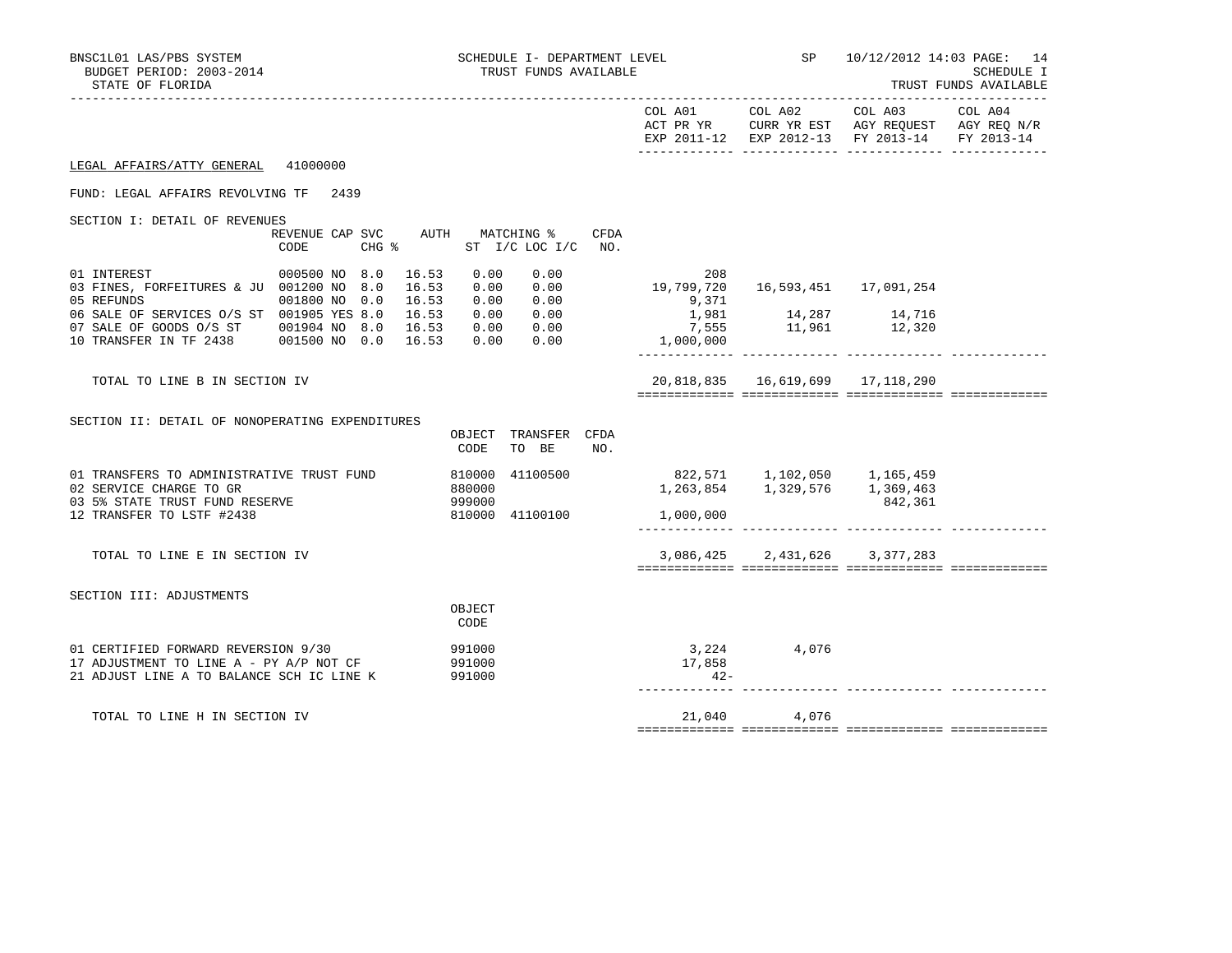| EXP 2011-12 EXP 2012-13 FY 2013-14 FY 2013-14<br>LEGAL AFFAIRS/ATTY GENERAL 41000000<br>FUND: LEGAL AFFAIRS REVOLVING TF 2439<br>SECTION I: DETAIL OF REVENUES<br>REVENUE CAP SVC AUTH MATCHING %<br>CFDA<br>CHG % ST I/C LOC I/C NO.<br>CODE<br>01 INTEREST<br>000500 NO 8.0<br>16.53<br>0.00<br>0.00<br>208<br>19,799,720<br>16,593,451    17,091,254<br>03 FINES, FORFEITURES & JU 001200 NO 8.0<br>16.53<br>0.00 0.00<br>0.00 0.00<br>05 REFUNDS<br>001800 NO 0.0<br>16.53<br>9,371<br>14,287 14,716<br>11,961 12,320<br>0.00 0.00<br>06 SALE OF SERVICES O/S ST 001905 YES 8.0<br>16.53<br>1,981<br>7,555<br>0.00 0.00<br>07 SALE OF GOODS 0/S ST 001904 NO 8.0 16.53<br>0.00 0.00<br>10 TRANSFER IN TF 2438 001500 NO 0.0 16.53<br>1,000,000<br>20,818,835  16,619,699  17,118,290<br>TOTAL TO LINE B IN SECTION IV<br>SECTION II: DETAIL OF NONOPERATING EXPENDITURES<br>OBJECT TRANSFER CFDA<br>CODE<br>TO BE<br>NO.<br>41100500 822,571 1,102,050 1,165,459<br>01 TRANSFERS TO ADMINISTRATIVE TRUST FUND<br>810000<br>1, 263, 854 1, 329, 576 1, 369, 463<br>02 SERVICE CHARGE TO GR<br>880000<br>03 5% STATE TRUST FUND RESERVE<br>999000<br>842,361<br>12 TRANSFER TO LSTF #2438<br>810000 41100100<br>1,000,000<br>3,086,425 2,431,626 3,377,283<br>TOTAL TO LINE E IN SECTION IV<br>SECTION III: ADJUSTMENTS<br>OBJECT<br>CODE<br>3, 224 4, 076<br>01 CERTIFIED FORWARD REVERSION 9/30<br>991000<br>17,858<br>17 ADJUSTMENT TO LINE A - PY A/P NOT CF<br>991000<br>21 ADJUST LINE A TO BALANCE SCH IC LINE K<br>991000<br>$42 -$<br>21,040 4,076<br>TOTAL TO LINE H IN SECTION IV | BNSC1L01 LAS/PBS SYSTEM<br>BUDGET PERIOD: 2003-2014<br>STATE OF FLORIDA |  | SCHEDULE I- DEPARTMENT LEVEL<br>TRUST FUNDS AVAILABLE |  | SP | 10/12/2012 14:03 PAGE: 14<br><b>SCHEDULE I</b><br>TRUST FUNDS AVAILABLE |
|------------------------------------------------------------------------------------------------------------------------------------------------------------------------------------------------------------------------------------------------------------------------------------------------------------------------------------------------------------------------------------------------------------------------------------------------------------------------------------------------------------------------------------------------------------------------------------------------------------------------------------------------------------------------------------------------------------------------------------------------------------------------------------------------------------------------------------------------------------------------------------------------------------------------------------------------------------------------------------------------------------------------------------------------------------------------------------------------------------------------------------------------------------------------------------------------------------------------------------------------------------------------------------------------------------------------------------------------------------------------------------------------------------------------------------------------------------------------------------------------------------------------------------------------------------------------------------------------|-------------------------------------------------------------------------|--|-------------------------------------------------------|--|----|-------------------------------------------------------------------------|
|                                                                                                                                                                                                                                                                                                                                                                                                                                                                                                                                                                                                                                                                                                                                                                                                                                                                                                                                                                                                                                                                                                                                                                                                                                                                                                                                                                                                                                                                                                                                                                                                |                                                                         |  |                                                       |  |    |                                                                         |
|                                                                                                                                                                                                                                                                                                                                                                                                                                                                                                                                                                                                                                                                                                                                                                                                                                                                                                                                                                                                                                                                                                                                                                                                                                                                                                                                                                                                                                                                                                                                                                                                |                                                                         |  |                                                       |  |    |                                                                         |
|                                                                                                                                                                                                                                                                                                                                                                                                                                                                                                                                                                                                                                                                                                                                                                                                                                                                                                                                                                                                                                                                                                                                                                                                                                                                                                                                                                                                                                                                                                                                                                                                |                                                                         |  |                                                       |  |    |                                                                         |
|                                                                                                                                                                                                                                                                                                                                                                                                                                                                                                                                                                                                                                                                                                                                                                                                                                                                                                                                                                                                                                                                                                                                                                                                                                                                                                                                                                                                                                                                                                                                                                                                |                                                                         |  |                                                       |  |    |                                                                         |
|                                                                                                                                                                                                                                                                                                                                                                                                                                                                                                                                                                                                                                                                                                                                                                                                                                                                                                                                                                                                                                                                                                                                                                                                                                                                                                                                                                                                                                                                                                                                                                                                |                                                                         |  |                                                       |  |    |                                                                         |
|                                                                                                                                                                                                                                                                                                                                                                                                                                                                                                                                                                                                                                                                                                                                                                                                                                                                                                                                                                                                                                                                                                                                                                                                                                                                                                                                                                                                                                                                                                                                                                                                |                                                                         |  |                                                       |  |    |                                                                         |
|                                                                                                                                                                                                                                                                                                                                                                                                                                                                                                                                                                                                                                                                                                                                                                                                                                                                                                                                                                                                                                                                                                                                                                                                                                                                                                                                                                                                                                                                                                                                                                                                |                                                                         |  |                                                       |  |    |                                                                         |
|                                                                                                                                                                                                                                                                                                                                                                                                                                                                                                                                                                                                                                                                                                                                                                                                                                                                                                                                                                                                                                                                                                                                                                                                                                                                                                                                                                                                                                                                                                                                                                                                |                                                                         |  |                                                       |  |    |                                                                         |
|                                                                                                                                                                                                                                                                                                                                                                                                                                                                                                                                                                                                                                                                                                                                                                                                                                                                                                                                                                                                                                                                                                                                                                                                                                                                                                                                                                                                                                                                                                                                                                                                |                                                                         |  |                                                       |  |    |                                                                         |
|                                                                                                                                                                                                                                                                                                                                                                                                                                                                                                                                                                                                                                                                                                                                                                                                                                                                                                                                                                                                                                                                                                                                                                                                                                                                                                                                                                                                                                                                                                                                                                                                |                                                                         |  |                                                       |  |    |                                                                         |
|                                                                                                                                                                                                                                                                                                                                                                                                                                                                                                                                                                                                                                                                                                                                                                                                                                                                                                                                                                                                                                                                                                                                                                                                                                                                                                                                                                                                                                                                                                                                                                                                |                                                                         |  |                                                       |  |    |                                                                         |
|                                                                                                                                                                                                                                                                                                                                                                                                                                                                                                                                                                                                                                                                                                                                                                                                                                                                                                                                                                                                                                                                                                                                                                                                                                                                                                                                                                                                                                                                                                                                                                                                |                                                                         |  |                                                       |  |    |                                                                         |
|                                                                                                                                                                                                                                                                                                                                                                                                                                                                                                                                                                                                                                                                                                                                                                                                                                                                                                                                                                                                                                                                                                                                                                                                                                                                                                                                                                                                                                                                                                                                                                                                |                                                                         |  |                                                       |  |    |                                                                         |
|                                                                                                                                                                                                                                                                                                                                                                                                                                                                                                                                                                                                                                                                                                                                                                                                                                                                                                                                                                                                                                                                                                                                                                                                                                                                                                                                                                                                                                                                                                                                                                                                |                                                                         |  |                                                       |  |    |                                                                         |
|                                                                                                                                                                                                                                                                                                                                                                                                                                                                                                                                                                                                                                                                                                                                                                                                                                                                                                                                                                                                                                                                                                                                                                                                                                                                                                                                                                                                                                                                                                                                                                                                |                                                                         |  |                                                       |  |    |                                                                         |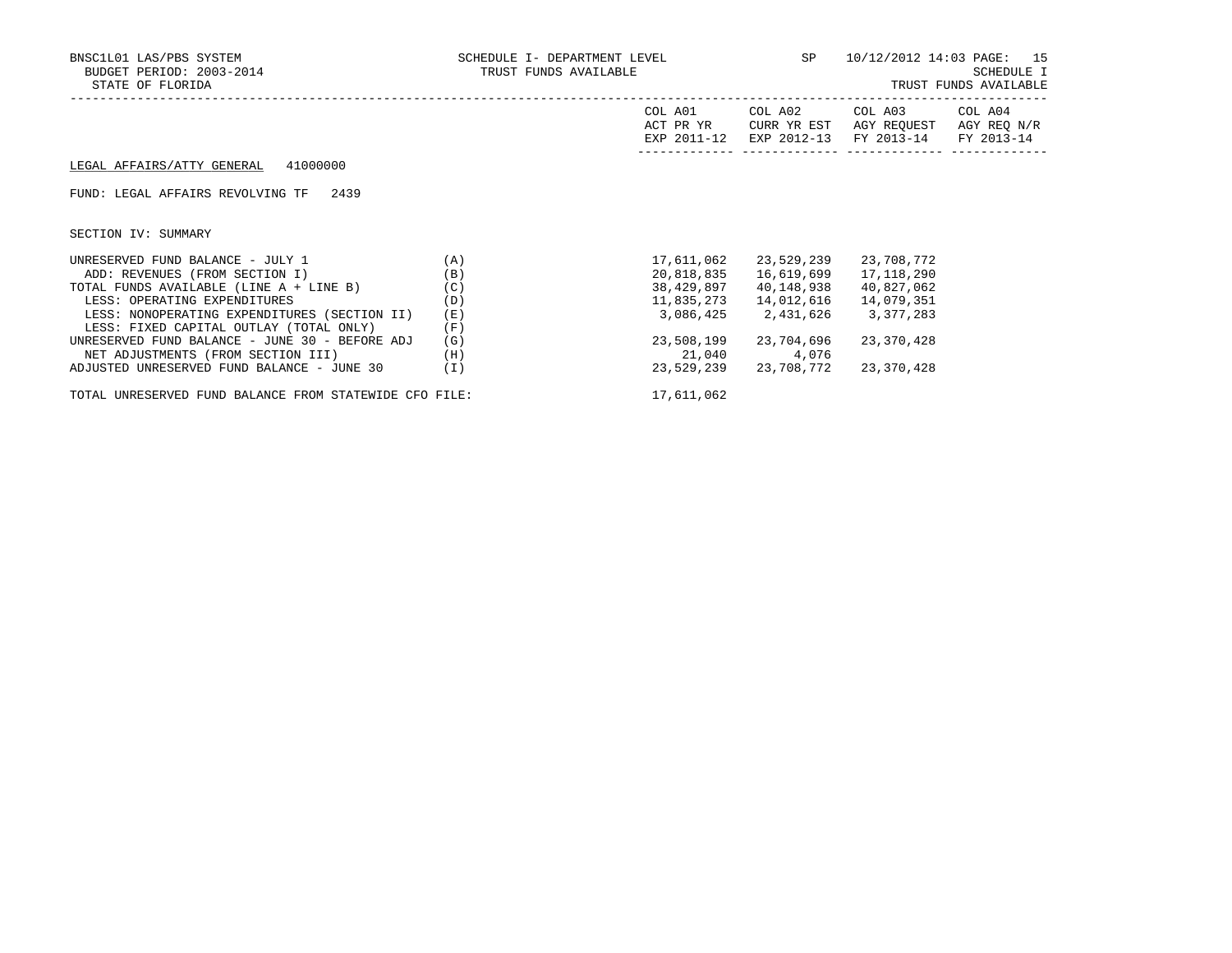## FUND: LEGAL AFFAIRS REVOLVING TF 2439

SECTION IV: SUMMARY

| UNRESERVED FUND BALANCE - JULY 1                       | (A) | 17,611,062 | 23,529,239 | 23,708,772 |
|--------------------------------------------------------|-----|------------|------------|------------|
| ADD: REVENUES (FROM SECTION I)                         | (B) | 20,818,835 | 16,619,699 | 17,118,290 |
| TOTAL FUNDS AVAILABLE (LINE A + LINE B)                | (C) | 38,429,897 | 40,148,938 | 40,827,062 |
| LESS: OPERATING EXPENDITURES                           | (D) | 11,835,273 | 14,012,616 | 14,079,351 |
| LESS: NONOPERATING EXPENDITURES (SECTION II)           | (E) | 3,086,425  | 2,431,626  | 3,377,283  |
| LESS: FIXED CAPITAL OUTLAY (TOTAL ONLY)                | (F) |            |            |            |
| UNRESERVED FUND BALANCE - JUNE 30 - BEFORE ADJ         | (G) | 23,508,199 | 23,704,696 | 23,370,428 |
| NET ADJUSTMENTS (FROM SECTION III)                     | (H) | 21,040     | 4,076      |            |
| ADJUSTED UNRESERVED FUND BALANCE - JUNE 30             | Ί)  | 23,529,239 | 23,708,772 | 23,370,428 |
| TOTAL UNRESERVED FUND BALANCE FROM STATEWIDE CFO FILE: |     | 17,611,062 |            |            |

COL A01 COL A02 COL A03 COL A04

------------- ------------- ------------- -------------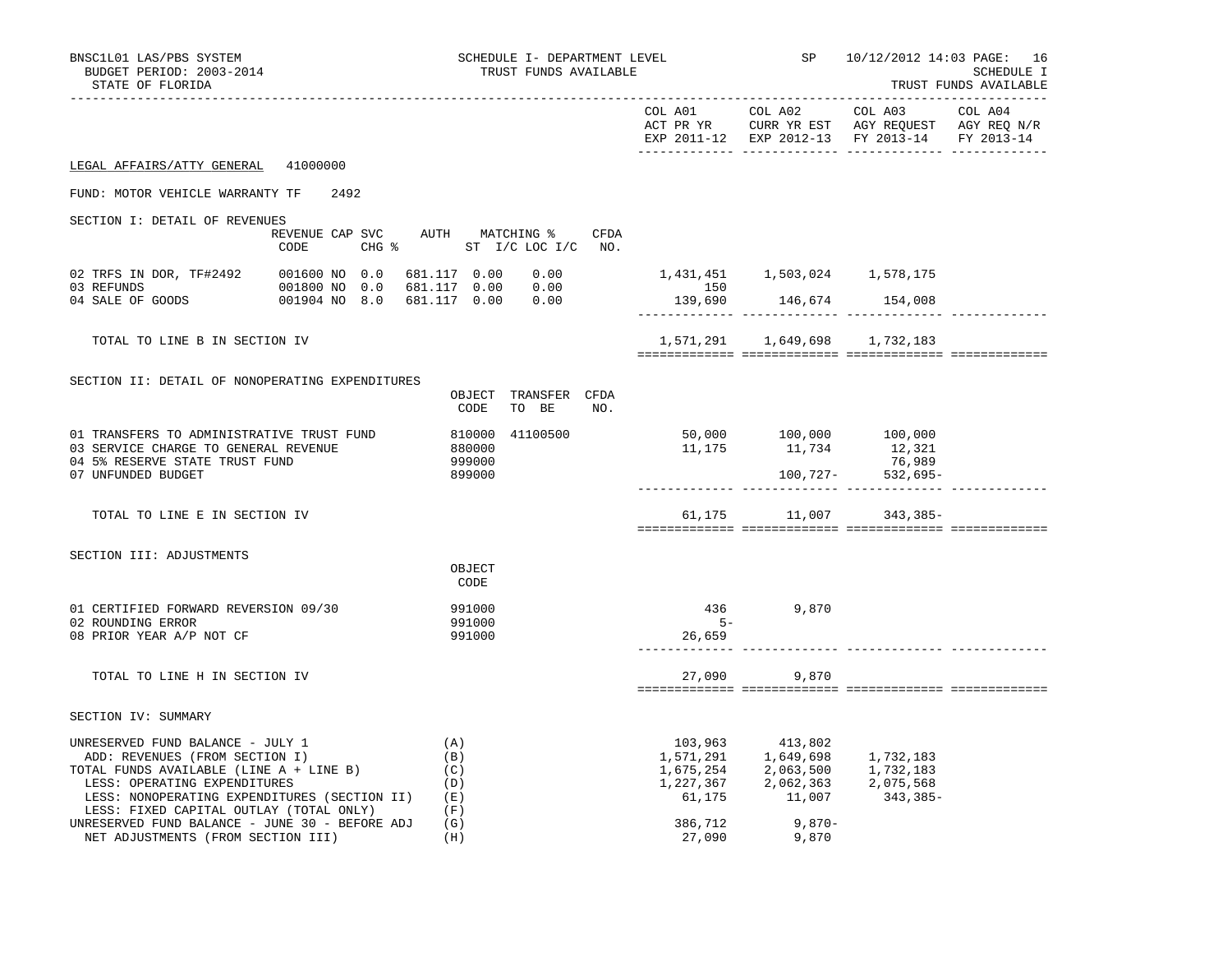| BNSC1L01 LAS/PBS SYSTEM<br>BUDGET PERIOD: 2003-2014<br>STATE OF FLORIDA                                                                                                                                                                                                        |      | SCHEDULE I- DEPARTMENT LEVEL<br>TRUST FUNDS AVAILABLE                        |                   |                                     | <b>SP</b> SP<br>10/12/2012 14:03 PAGE: 16<br>SCHEDULE I<br>TRUST FUNDS AVAILABLE                                                                                                                 |         |  |
|--------------------------------------------------------------------------------------------------------------------------------------------------------------------------------------------------------------------------------------------------------------------------------|------|------------------------------------------------------------------------------|-------------------|-------------------------------------|--------------------------------------------------------------------------------------------------------------------------------------------------------------------------------------------------|---------|--|
|                                                                                                                                                                                                                                                                                |      |                                                                              |                   |                                     | COL A01 COL A02 COL A03<br>ACT PR YR $\,$ CURR YR EST $\,$ AGY REQUEST $\,$ AGY REQ $\rm N/R$<br>EXP 2011-12 EXP 2012-13 FY 2013-14 FY 2013-14                                                   | COL A04 |  |
| LEGAL AFFAIRS/ATTY GENERAL 41000000                                                                                                                                                                                                                                            |      |                                                                              |                   |                                     |                                                                                                                                                                                                  |         |  |
| FUND: MOTOR VEHICLE WARRANTY TF                                                                                                                                                                                                                                                | 2492 |                                                                              |                   |                                     |                                                                                                                                                                                                  |         |  |
| SECTION I: DETAIL OF REVENUES<br>CODE                                                                                                                                                                                                                                          |      | REVENUE CAP SVC AUTH MATCHING % CFDA<br>CHG $\frac{1}{6}$ ST I/C LOC I/C NO. |                   |                                     |                                                                                                                                                                                                  |         |  |
|                                                                                                                                                                                                                                                                                |      |                                                                              | 150               | 1,431,451    1,503,024    1,578,175 |                                                                                                                                                                                                  |         |  |
|                                                                                                                                                                                                                                                                                |      |                                                                              |                   | 139,690 146,674 154,008             |                                                                                                                                                                                                  |         |  |
| TOTAL TO LINE B IN SECTION IV                                                                                                                                                                                                                                                  |      |                                                                              |                   | 1,571,291 1,649,698 1,732,183       |                                                                                                                                                                                                  |         |  |
| SECTION II: DETAIL OF NONOPERATING EXPENDITURES                                                                                                                                                                                                                                |      | OBJECT TRANSFER CFDA<br>TO BE NO.<br>CODE                                    |                   |                                     |                                                                                                                                                                                                  |         |  |
| 01 TRANSFERS TO ADMINISTRATIVE TRUST FUND<br>03 SERVICE CHARGE TO GENERAL REVENUE<br>04 5% RESERVE STATE TRUST FUND<br>07 UNFUNDED BUDGET                                                                                                                                      |      | 41100500<br>810000<br>880000<br>999000<br>899000                             |                   |                                     | 76,989                                                                                                                                                                                           |         |  |
| TOTAL TO LINE E IN SECTION IV                                                                                                                                                                                                                                                  |      |                                                                              |                   |                                     | 61,175 11,007 343,385-                                                                                                                                                                           |         |  |
| SECTION III: ADJUSTMENTS                                                                                                                                                                                                                                                       |      | OBJECT<br>CODE                                                               |                   |                                     |                                                                                                                                                                                                  |         |  |
| 01 CERTIFIED FORWARD REVERSION 09/30<br>02 ROUNDING ERROR<br>08 PRIOR YEAR A/P NOT CF                                                                                                                                                                                          |      | 991000<br>991000<br>991000                                                   | $5-$<br>26,659    | 436 9,870                           |                                                                                                                                                                                                  |         |  |
| TOTAL TO LINE H IN SECTION IV                                                                                                                                                                                                                                                  |      |                                                                              | 27,090            | 9,870                               |                                                                                                                                                                                                  |         |  |
| SECTION IV: SUMMARY                                                                                                                                                                                                                                                            |      |                                                                              |                   |                                     |                                                                                                                                                                                                  |         |  |
| UNRESERVED FUND BALANCE - JULY 1<br>ADD: REVENUES (FROM SECTION I)<br>ADD: REVENUES (FROM SECTION I)<br>TOTAL FUNDS AVAILABLE (LINE A + LINE B)<br>LESS: OPERATING EXPENDITURES<br>LESS: NONOPERATING EXPENDITURES (SECTION II) (E)<br>LESS: FIXED CAPITAL OUTLAY (TOTAL ONLY) |      | (A)<br>(B)<br>(C)<br>(D)<br>(F)                                              |                   | 103,963 413,802                     | $\begin{array}{cccc} 1, 571, 291 & 1, 649, 698 & 1, 732, 183 \\ 1, 675, 254 & 2, 063, 500 & 1, 732, 183 \\ 1, 227, 367 & 2, 062, 363 & 2, 075, 568 \\ 61, 175 & 11, 007 & 343, 385- \end{array}$ |         |  |
| UNRESERVED FUND BALANCE - JUNE 30 - BEFORE ADJ<br>NET ADJUSTMENTS (FROM SECTION III)                                                                                                                                                                                           |      | (G)<br>(H)                                                                   | 386,712<br>27,090 | $9,870-$<br>9,870                   |                                                                                                                                                                                                  |         |  |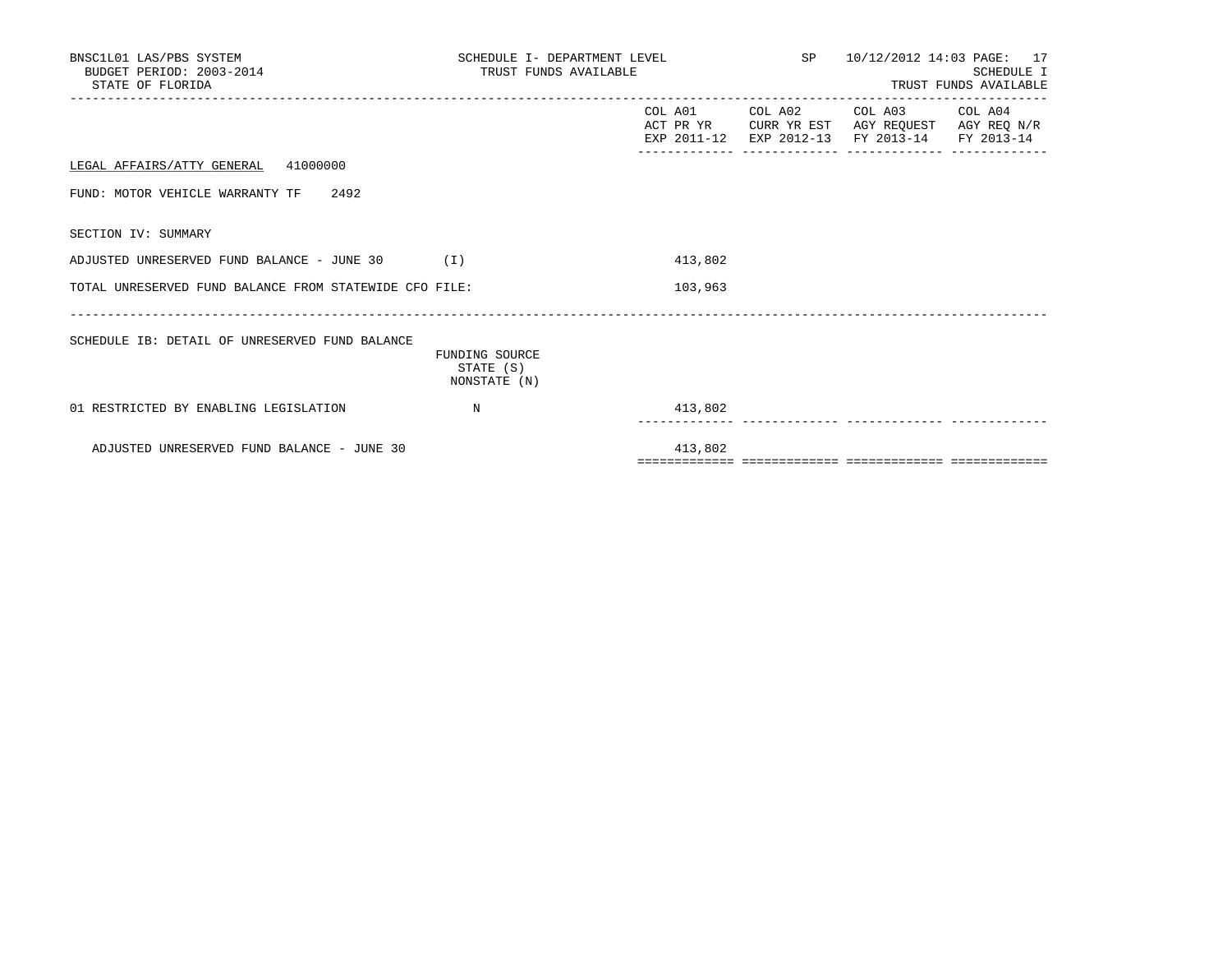| BNSC1L01 LAS/PBS SYSTEM<br>BUDGET PERIOD: 2003-2014<br>STATE OF FLORIDA | SCHEDULE I- DEPARTMENT LEVEL $SP$ 10/12/2012 14:03 PAGE: 17<br>TRUST FUNDS AVAILABLE |         |                                                                                                                        | SCHEDULE I<br>TRUST FUNDS AVAILABLE |
|-------------------------------------------------------------------------|--------------------------------------------------------------------------------------|---------|------------------------------------------------------------------------------------------------------------------------|-------------------------------------|
|                                                                         |                                                                                      |         | COL A01 COL A02 COL A03 COL A04<br>ACT PR YR CURR YR EST AGY REQUEST AGY REQ N/R<br>EXP 2011-12 EXP 2012-13 FY 2013-14 | FY 2013-14                          |
| LEGAL AFFAIRS/ATTY GENERAL 41000000                                     |                                                                                      |         |                                                                                                                        |                                     |
| FUND: MOTOR VEHICLE WARRANTY TF 2492                                    |                                                                                      |         |                                                                                                                        |                                     |
| SECTION IV: SUMMARY                                                     |                                                                                      |         |                                                                                                                        |                                     |
| ADJUSTED UNRESERVED FUND BALANCE - JUNE 30 (I)                          |                                                                                      | 413,802 |                                                                                                                        |                                     |
| TOTAL UNRESERVED FUND BALANCE FROM STATEWIDE CFO FILE:                  |                                                                                      | 103,963 |                                                                                                                        |                                     |
| SCHEDULE IB: DETAIL OF UNRESERVED FUND BALANCE                          | FUNDING SOURCE<br>STATE (S)<br>NONSTATE (N)                                          |         |                                                                                                                        |                                     |
| 01 RESTRICTED BY ENABLING LEGISLATION                                   | N                                                                                    | 413,802 |                                                                                                                        |                                     |
| ADJUSTED UNRESERVED FUND BALANCE - JUNE 30                              |                                                                                      | 413,802 |                                                                                                                        |                                     |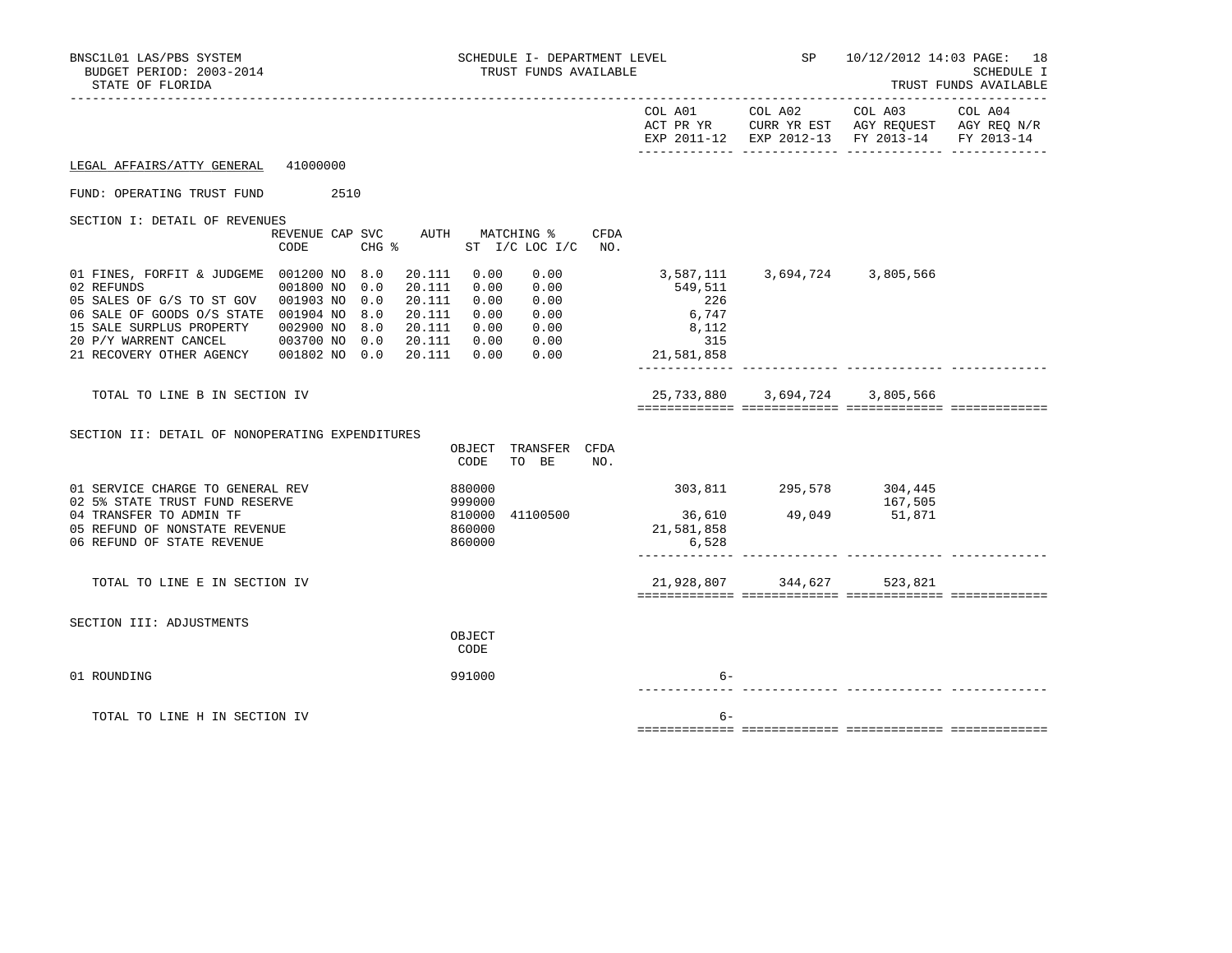| BNSC1L01 LAS/PBS SYSTEM<br>BUDGET PERIOD: 2003-2014<br>STATE OF FLORIDA                                                                                                                                                                                                                                                                                                           | SCHEDULE I- DEPARTMENT LEVEL<br>TRUST FUNDS AVAILABLE                                                        |                                                                    | SP                      | 10/12/2012 14:03 PAGE: 18                                                                                 | SCHEDULE I<br>TRUST FUNDS AVAILABLE |
|-----------------------------------------------------------------------------------------------------------------------------------------------------------------------------------------------------------------------------------------------------------------------------------------------------------------------------------------------------------------------------------|--------------------------------------------------------------------------------------------------------------|--------------------------------------------------------------------|-------------------------|-----------------------------------------------------------------------------------------------------------|-------------------------------------|
|                                                                                                                                                                                                                                                                                                                                                                                   |                                                                                                              |                                                                    | COL A01 COL A02         | COL A03<br>ACT PR YR CURR YR EST AGY REQUEST AGY REQ N/R<br>EXP 2011-12 EXP 2012-13 FY 2013-14 FY 2013-14 | COL A04                             |
| 41000000<br>LEGAL AFFAIRS/ATTY GENERAL                                                                                                                                                                                                                                                                                                                                            |                                                                                                              |                                                                    |                         |                                                                                                           |                                     |
| FUND: OPERATING TRUST FUND<br>2510                                                                                                                                                                                                                                                                                                                                                |                                                                                                              |                                                                    |                         |                                                                                                           |                                     |
| SECTION I: DETAIL OF REVENUES<br>REVENUE CAP SVC<br>CODE<br>$CHG$ $\frac{1}{6}$                                                                                                                                                                                                                                                                                                   | AUTH MATCHING %<br>CFDA<br>ST I/C LOC I/C NO.                                                                |                                                                    |                         |                                                                                                           |                                     |
| 01 FINES, FORFIT & JUDGEME 001200 NO 8.0<br>20.111<br>02 REFUNDS<br>20.111<br>001800 NO 0.0<br>20.111<br>05 SALES OF G/S TO ST GOV 001903 NO<br>0.0<br>06 SALE OF GOODS O/S STATE 001904 NO<br>8.0<br>20.111<br>15 SALE SURPLUS PROPERTY<br>8.0<br>20.111<br>002900 NO<br>20 P/Y WARRENT CANCEL<br>003700 NO<br>0.0<br>20.111<br>21 RECOVERY OTHER AGENCY 001802 NO 0.0<br>20.111 | 0.00<br>0.00<br>0.00<br>0.00<br>0.00<br>0.00<br>0.00<br>0.00<br>0.00<br>0.00<br>0.00<br>0.00<br>0.00<br>0.00 | 3,587,111<br>549,511<br>226<br>6,747<br>8,112<br>315<br>21,581,858 | 3,694,724 3,805,566     |                                                                                                           |                                     |
| TOTAL TO LINE B IN SECTION IV                                                                                                                                                                                                                                                                                                                                                     |                                                                                                              | 25,733,880                                                         |                         | 3,694,724 3,805,566                                                                                       |                                     |
| SECTION II: DETAIL OF NONOPERATING EXPENDITURES                                                                                                                                                                                                                                                                                                                                   | OBJECT TRANSFER CFDA<br>CODE<br>TO BE<br>NO.                                                                 |                                                                    |                         |                                                                                                           |                                     |
| 01 SERVICE CHARGE TO GENERAL REV<br>02 5% STATE TRUST FUND RESERVE<br>04 TRANSFER TO ADMIN TF<br>05 REFUND OF NONSTATE REVENUE<br>06 REFUND OF STATE REVENUE                                                                                                                                                                                                                      | 880000<br>999000<br>810000<br>41100500<br>860000<br>860000                                                   | 36,610<br>21,581,858<br>6,528                                      | 303,811 295,578 304,445 | 167,505<br>49,049 51,871                                                                                  |                                     |
| TOTAL TO LINE E IN SECTION IV                                                                                                                                                                                                                                                                                                                                                     |                                                                                                              |                                                                    | 21,928,807 344,627      | 523,821                                                                                                   |                                     |
| SECTION III: ADJUSTMENTS                                                                                                                                                                                                                                                                                                                                                          | OBJECT<br>CODE                                                                                               |                                                                    |                         |                                                                                                           |                                     |
| 01 ROUNDING                                                                                                                                                                                                                                                                                                                                                                       | 991000                                                                                                       | $6 -$                                                              |                         |                                                                                                           |                                     |
| TOTAL TO LINE H IN SECTION IV                                                                                                                                                                                                                                                                                                                                                     |                                                                                                              | $6-$                                                               |                         |                                                                                                           |                                     |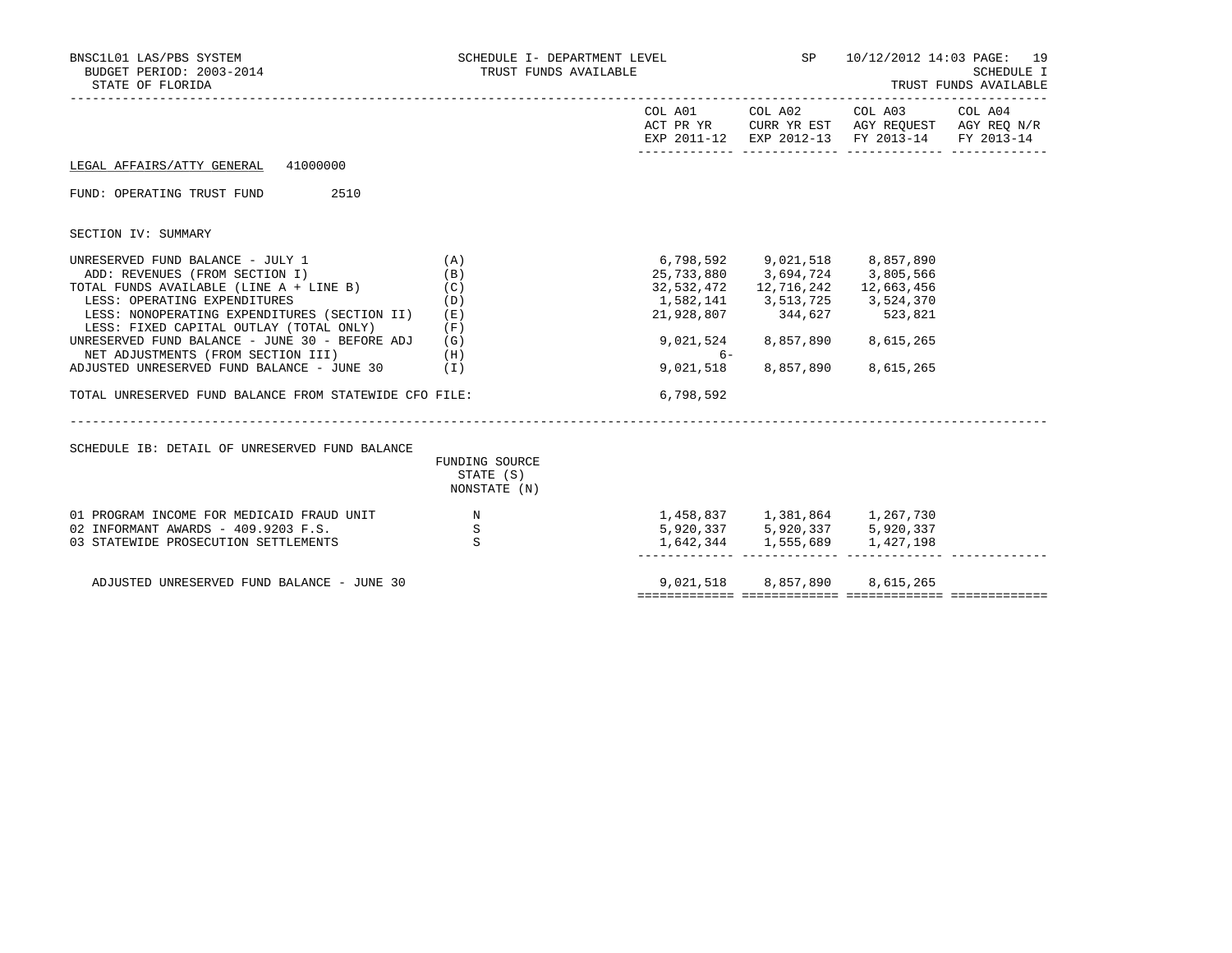| BNSC1L01 LAS/PBS SYSTEM<br>BUDGET PERIOD: 2003-2014<br>STATE OF FLORIDA                                                                                                                                                                                  | SCHEDULE I- DEPARTMENT LEVEL<br>TRUST FUNDS AVAILABLE |                                                                   | <b>SP</b> SP                                                                                                      | 10/12/2012 14:03 PAGE:<br><b>SCHEDULE I</b><br>TRUST FUNDS AVAILABLE<br>--------------------------- |  |  |
|----------------------------------------------------------------------------------------------------------------------------------------------------------------------------------------------------------------------------------------------------------|-------------------------------------------------------|-------------------------------------------------------------------|-------------------------------------------------------------------------------------------------------------------|-----------------------------------------------------------------------------------------------------|--|--|
|                                                                                                                                                                                                                                                          |                                                       |                                                                   |                                                                                                                   | EXP 2011-12 EXP 2012-13 FY 2013-14 FY 2013-14                                                       |  |  |
| LEGAL AFFAIRS/ATTY GENERAL 41000000                                                                                                                                                                                                                      |                                                       |                                                                   |                                                                                                                   |                                                                                                     |  |  |
| FUND: OPERATING TRUST FUND<br>2510                                                                                                                                                                                                                       |                                                       |                                                                   |                                                                                                                   |                                                                                                     |  |  |
| SECTION IV: SUMMARY                                                                                                                                                                                                                                      |                                                       |                                                                   |                                                                                                                   |                                                                                                     |  |  |
| UNRESERVED FUND BALANCE - JULY 1<br>TOTAL FUNDS AVAILABLE (LINE A + LINE B)<br>LESS: OPERATING EXPENDITURES<br>LESS: NONOPERATING EXPENDITURES (SECTION II)<br>LESS: FIXED CAPITAL OUTLAY (TOTAL ONLY)<br>UNRESERVED FUND BALANCE - JUNE 30 - BEFORE ADJ | (A)<br>(B)<br>(C)<br>(D)<br>(E)<br>(F)<br>(G)         | 6,798,592 9,021,518 8,857,890<br>1,582,141 3,513,725<br>9,021,524 | 25,733,880 3,694,724 3,805,566<br>32,532,472   12,716,242   12,663,456<br>21,928,807 344,627 523,821<br>8,857,890 | 3,524,370<br>8,615,265                                                                              |  |  |
| NET ADJUSTMENTS (FROM SECTION III)<br>ADJUSTED UNRESERVED FUND BALANCE - JUNE 30                                                                                                                                                                         | (H)<br>(I)                                            | 6-<br>9,021,518                                                   | 8,857,890                                                                                                         | 8,615,265                                                                                           |  |  |
| TOTAL UNRESERVED FUND BALANCE FROM STATEWIDE CFO FILE:                                                                                                                                                                                                   |                                                       | 6,798,592                                                         |                                                                                                                   |                                                                                                     |  |  |
| SCHEDULE IB: DETAIL OF UNRESERVED FUND BALANCE                                                                                                                                                                                                           | FUNDING SOURCE<br>STATE (S)<br>NONSTATE (N)           |                                                                   |                                                                                                                   |                                                                                                     |  |  |
| 01 PROGRAM INCOME FOR MEDICAID FRAUD UNIT<br>02 INFORMANT AWARDS - 409.9203 F.S.<br>03 STATEWIDE PROSECUTION SETTLEMENTS                                                                                                                                 | $\mathbb N$<br>$\begin{array}{c} S \\ S \end{array}$  |                                                                   | 1,458,837 1,381,864 1,267,730<br>5,920,337 5,920,337 5,920,337<br>1,642,344 1,555,689                             | 1,427,198                                                                                           |  |  |
| ADJUSTED UNRESERVED FUND BALANCE - JUNE 30                                                                                                                                                                                                               |                                                       |                                                                   | 9,021,518 8,857,890                                                                                               | 8,615,265                                                                                           |  |  |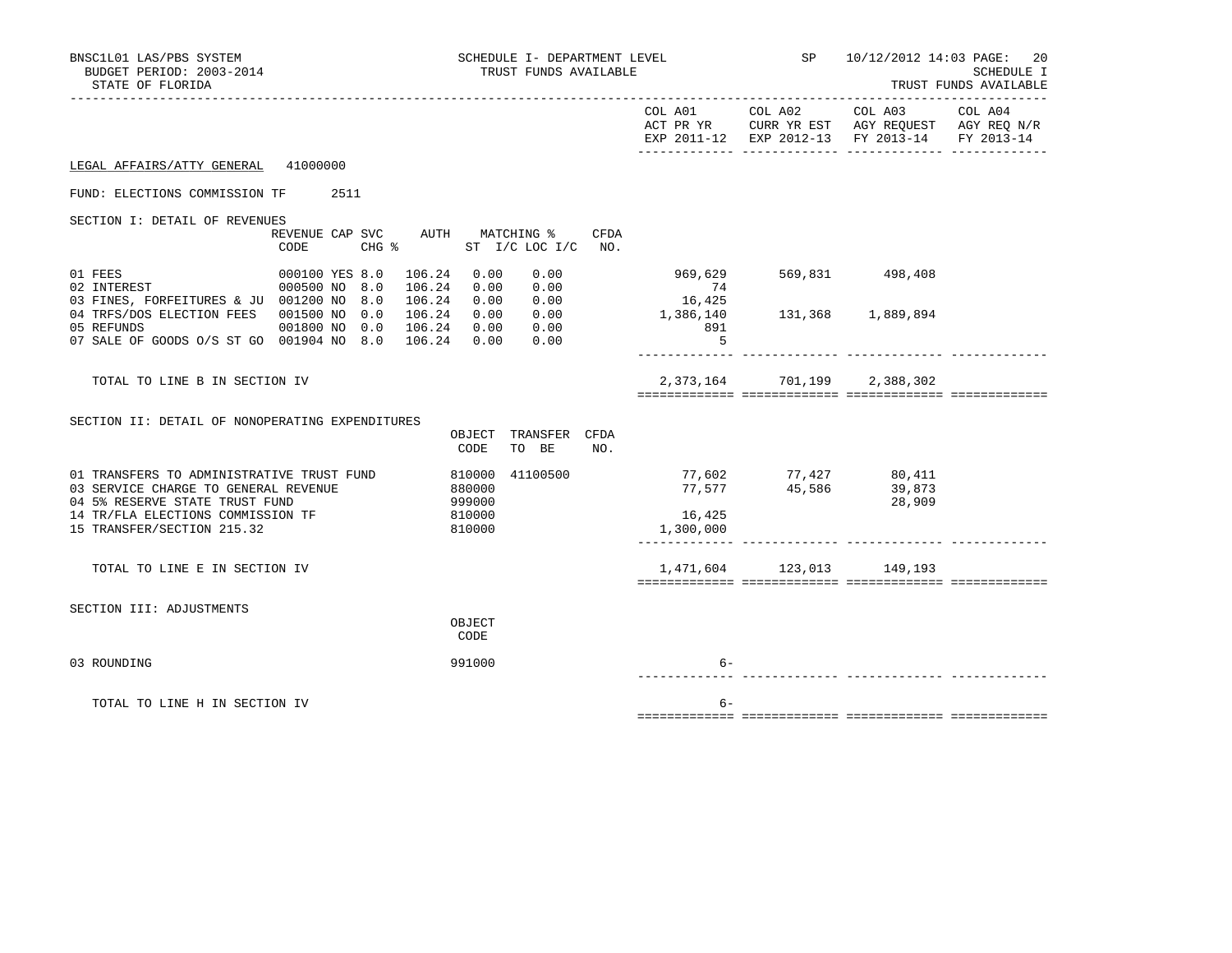| BNSC1L01 LAS/PBS SYSTEM<br>BUDGET PERIOD: 2003-2014<br>STATE OF FLORIDA                                                                                                                | SCHEDULE I- DEPARTMENT LEVEL<br>TRUST FUNDS AVAILABLE                                    |                                         | <b>SP</b> SP               |                                                                                                 | 10/12/2012 14:03 PAGE: 20<br>SCHEDULE I<br>TRUST FUNDS AVAILABLE |
|----------------------------------------------------------------------------------------------------------------------------------------------------------------------------------------|------------------------------------------------------------------------------------------|-----------------------------------------|----------------------------|-------------------------------------------------------------------------------------------------|------------------------------------------------------------------|
|                                                                                                                                                                                        |                                                                                          | COL A01<br>ACT PR YR                    | COL A02                    | COL A03<br>CURR YR EST AGY REQUEST AGY REQ N/R<br>EXP 2011-12 EXP 2012-13 FY 2013-14 FY 2013-14 | COL A04                                                          |
| 41000000<br>LEGAL AFFAIRS/ATTY GENERAL                                                                                                                                                 |                                                                                          |                                         |                            |                                                                                                 |                                                                  |
| 2511<br>FUND: ELECTIONS COMMISSION TF                                                                                                                                                  |                                                                                          |                                         |                            |                                                                                                 |                                                                  |
| SECTION I: DETAIL OF REVENUES<br>REVENUE CAP SVC<br>CODE                                                                                                                               | MATCHING %<br>CFDA<br>AUTH<br>$CHG$ $\frac{1}{6}$<br>ST I/C LOC I/C<br>NO.               |                                         |                            |                                                                                                 |                                                                  |
| 01 FEES<br>000100 YES 8.0<br>02 INTEREST<br>000500 NO<br>03 FINES, FORFEITURES & JU 001200 NO                                                                                          | 106.24<br>0.00<br>0.00<br>0.00<br>8.0<br>106.24<br>0.00<br>0.00<br>8.0<br>106.24<br>0.00 | 969,629<br>74<br>16,425                 |                            | 569,831 498,408                                                                                 |                                                                  |
| 04 TRFS/DOS ELECTION FEES<br>001500 NO<br>05 REFUNDS<br>001800 NO<br>07 SALE OF GOODS 0/S ST GO 001904 NO 8.0                                                                          | 0.0<br>106.24<br>0.00<br>0.00<br>0.0<br>106.24<br>0.00<br>0.00<br>106.24<br>0.00<br>0.00 | 1,386,140<br>891<br>.5                  | 131,368                    | 1,889,894                                                                                       |                                                                  |
| TOTAL TO LINE B IN SECTION IV                                                                                                                                                          |                                                                                          | 2,373,164                               | 701,199                    | 2,388,302                                                                                       |                                                                  |
| SECTION II: DETAIL OF NONOPERATING EXPENDITURES                                                                                                                                        | OBJECT TRANSFER CFDA<br>CODE<br>TO BE<br>NO.                                             |                                         |                            |                                                                                                 |                                                                  |
| 01 TRANSFERS TO ADMINISTRATIVE TRUST FUND<br>03 SERVICE CHARGE TO GENERAL REVENUE<br>04 5% RESERVE STATE TRUST FUND<br>14 TR/FLA ELECTIONS COMMISSION TF<br>15 TRANSFER/SECTION 215.32 | 810000 41100500<br>880000<br>999000<br>810000<br>810000                                  | 77,602<br>77,577<br>16,425<br>1,300,000 | 77,427<br>45,586<br>45,586 | 80,411<br>39,873<br>28,909                                                                      |                                                                  |
| TOTAL TO LINE E IN SECTION IV                                                                                                                                                          |                                                                                          | 1,471,604                               |                            | 123,013 149,193                                                                                 |                                                                  |
| SECTION III: ADJUSTMENTS                                                                                                                                                               | OBJECT<br>CODE                                                                           |                                         |                            |                                                                                                 |                                                                  |
| 03 ROUNDING                                                                                                                                                                            | 991000                                                                                   | $6-$                                    |                            |                                                                                                 |                                                                  |
| TOTAL TO LINE H IN SECTION IV                                                                                                                                                          |                                                                                          | $6 -$                                   |                            |                                                                                                 |                                                                  |
|                                                                                                                                                                                        |                                                                                          |                                         |                            |                                                                                                 |                                                                  |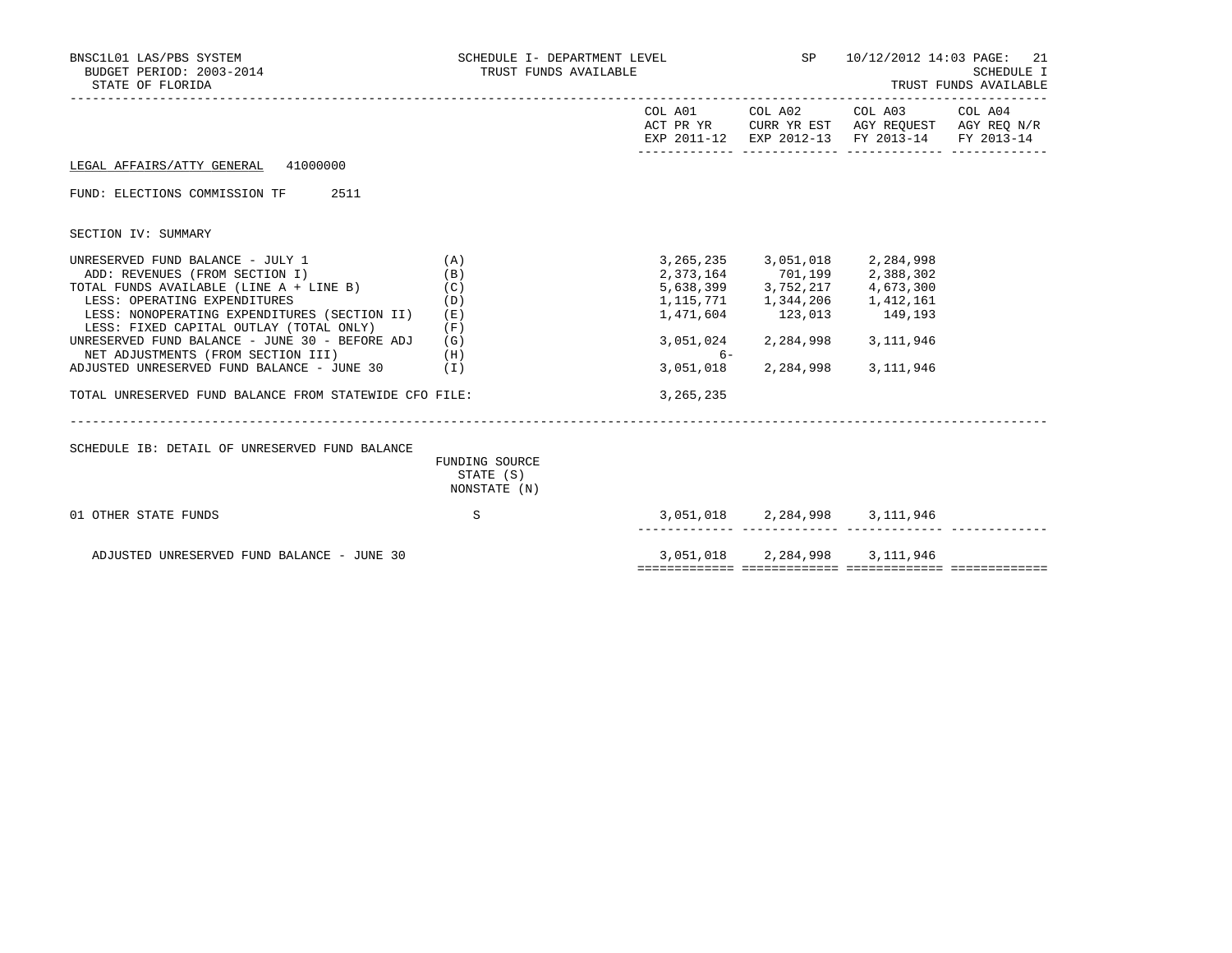| BNSC1L01 LAS/PBS SYSTEM<br>BUDGET PERIOD: 2003-2014<br>STATE OF FLORIDA                                                                                                                                                                                                                                                                                                                                                                         | SCHEDULE I- DEPARTMENT LEVEL<br>TRUST FUNDS AVAILABLE  |                                                            |                                                                                                                                                                                              | SP 10/12/2012 14:03 PAGE:<br>-21<br>SCHEDULE I<br>TRUST FUNDS AVAILABLE                                                           |  |  |
|-------------------------------------------------------------------------------------------------------------------------------------------------------------------------------------------------------------------------------------------------------------------------------------------------------------------------------------------------------------------------------------------------------------------------------------------------|--------------------------------------------------------|------------------------------------------------------------|----------------------------------------------------------------------------------------------------------------------------------------------------------------------------------------------|-----------------------------------------------------------------------------------------------------------------------------------|--|--|
|                                                                                                                                                                                                                                                                                                                                                                                                                                                 |                                                        |                                                            |                                                                                                                                                                                              | COL A01 COL A02 COL A03 COL A04<br>ACT PR YR CURR YR EST AGY REQUEST AGY REQ N/R<br>EXP 2011-12 EXP 2012-13 FY 2013-14 FY 2013-14 |  |  |
| LEGAL AFFAIRS/ATTY GENERAL 41000000                                                                                                                                                                                                                                                                                                                                                                                                             |                                                        |                                                            |                                                                                                                                                                                              |                                                                                                                                   |  |  |
| FUND: ELECTIONS COMMISSION TF 2511                                                                                                                                                                                                                                                                                                                                                                                                              |                                                        |                                                            |                                                                                                                                                                                              |                                                                                                                                   |  |  |
| SECTION IV: SUMMARY                                                                                                                                                                                                                                                                                                                                                                                                                             |                                                        |                                                            |                                                                                                                                                                                              |                                                                                                                                   |  |  |
| UNRESERVED FUND BALANCE - JULY 1<br>ADD: REVENUES (FROM SECTION I)<br>TOTAL FUNDS AVAILABLE (LINE $A + LINE B$ ) (C)<br>LESS: OPERATING EXPENDITURES<br>LESS: NONOPERATING EXPENDITURES (SECTION II)<br>LESS: FIXED CAPITAL OUTLAY (TOTAL ONLY)<br>UNRESERVED FUND BALANCE - JUNE 30 - BEFORE ADJ<br>NET ADJUSTMENTS (FROM SECTION III)<br>ADJUSTED UNRESERVED FUND BALANCE - JUNE 30<br>TOTAL UNRESERVED FUND BALANCE FROM STATEWIDE CFO FILE: | (A)<br>(B)<br>(D)<br>(E)<br>(F)<br>(G)<br>(H)<br>( I ) | 1,471,604<br>3,051,024<br>$6-$<br>3,051,018<br>3, 265, 235 | 3, 265, 235 3, 051, 018 2, 284, 998<br>2, 373, 164 701, 199 2, 388, 302<br>5,638,399 3,752,217 4,673,300<br>1, 115, 771 1, 344, 206 1, 412, 161<br>123,013 149,193<br>2,284,998<br>2,284,998 | 3,111,946<br>3,111,946                                                                                                            |  |  |
| SCHEDULE IB: DETAIL OF UNRESERVED FUND BALANCE                                                                                                                                                                                                                                                                                                                                                                                                  | FUNDING SOURCE<br>STATE (S)<br>NONSTATE (N)            |                                                            |                                                                                                                                                                                              |                                                                                                                                   |  |  |
| 01 OTHER STATE FUNDS                                                                                                                                                                                                                                                                                                                                                                                                                            | S                                                      |                                                            | 3,051,018 2,284,998 3,111,946                                                                                                                                                                |                                                                                                                                   |  |  |
| ADJUSTED UNRESERVED FUND BALANCE - JUNE 30                                                                                                                                                                                                                                                                                                                                                                                                      |                                                        |                                                            | 3,051,018 2,284,998 3,111,946                                                                                                                                                                |                                                                                                                                   |  |  |